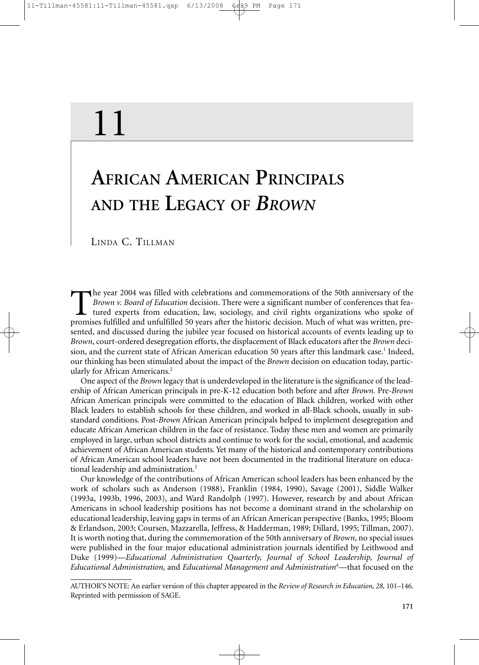# 11

# **AFRICAN AMERICAN PRINCIPALS AND THE LEGACY OF** *BROWN*

LINDA C. TILLMAN

The year 2004 was filled with celebrations and commemorations of the 50th anniversary of the *Brown v. Board of Education* decision. There were a significant number of conferences that featured experts from education, law, sociology, and civil rights organizations who spoke of promises fulfilled and unfulfilled 50 years after the historic decision. Much of what was written, presented, and discussed during the jubilee year focused on historical accounts of events leading up to *Brown*, court-ordered desegregation efforts, the displacement of Black educators after the *Brown* decision, and the current state of African American education 50 years after this landmark case.<sup>1</sup> Indeed, our thinking has been stimulated about the impact of the *Brown* decision on education today, particularly for African Americans.<sup>2</sup>

One aspect of the *Brown* legacy that is underdeveloped in the literature is the significance of the leadership of African American principals in pre-K-12 education both before and after *Brown.* Pre-*Brown* African American principals were committed to the education of Black children, worked with other Black leaders to establish schools for these children, and worked in all-Black schools, usually in substandard conditions. Post-*Brown* African American principals helped to implement desegregation and educate African American children in the face of resistance. Today these men and women are primarily employed in large, urban school districts and continue to work for the social, emotional, and academic achievement of African American students. Yet many of the historical and contemporary contributions of African American school leaders have not been documented in the traditional literature on educational leadership and administration.<sup>3</sup>

Our knowledge of the contributions of African American school leaders has been enhanced by the work of scholars such as Anderson (1988), Franklin (1984, 1990), Savage (2001), Siddle Walker (1993a, 1993b, 1996, 2003), and Ward Randolph (1997). However, research by and about African Americans in school leadership positions has not become a dominant strand in the scholarship on educational leadership, leaving gaps in terms of an African American perspective (Banks, 1995; Bloom & Erlandson, 2003; Coursen, Mazzarella, Jeffress, & Hadderman, 1989; Dillard, 1995; Tillman, 2007). It is worth noting that, during the commemoration of the 50th anniversary of *Brown*, no special issues were published in the four major educational administration journals identified by Leithwood and Duke (1999)—*Educational Administration Quarterly, Journal of School Leadership, Journal of Educational Administration,* and *Educational Management and Administration*<sup>4</sup> —that focused on the

AUTHOR'S NOTE: An earlier version of this chapter appeared in the *Review of Research in Education, 28,* 101–146. Reprinted with permission of SAGE.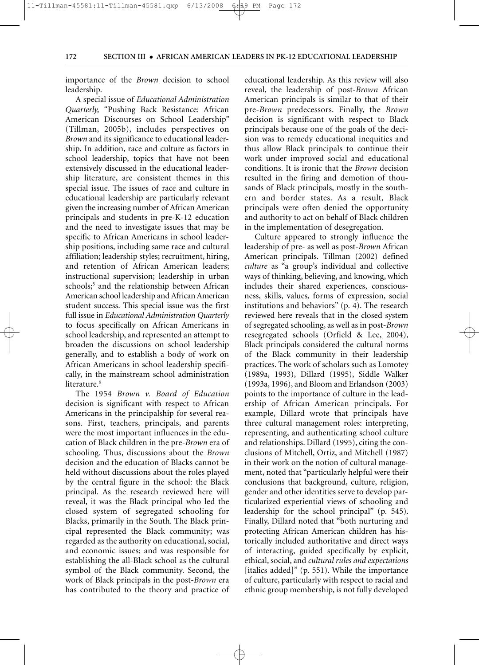

importance of the *Brown* decision to school leadership.

A special issue of *Educational Administration Quarterly,* "Pushing Back Resistance: African American Discourses on School Leadership" (Tillman, 2005b), includes perspectives on *Brown* and its significance to educational leadership. In addition, race and culture as factors in school leadership, topics that have not been extensively discussed in the educational leadership literature, are consistent themes in this special issue. The issues of race and culture in educational leadership are particularly relevant given the increasing number of African American principals and students in pre-K-12 education and the need to investigate issues that may be specific to African Americans in school leadership positions, including same race and cultural affiliation; leadership styles; recruitment, hiring, and retention of African American leaders; instructional supervision; leadership in urban schools;<sup>5</sup> and the relationship between African American school leadership and African American student success. This special issue was the first full issue in *Educational Administration Quarterly* to focus specifically on African Americans in school leadership, and represented an attempt to broaden the discussions on school leadership generally, and to establish a body of work on African Americans in school leadership specifically, in the mainstream school administration literature.<sup>6</sup>

The 1954 *Brown v. Board of Education*  decision is significant with respect to African Americans in the principalship for several reasons. First, teachers, principals, and parents were the most important influences in the education of Black children in the pre-*Brown* era of schooling. Thus, discussions about the *Brown* decision and the education of Blacks cannot be held without discussions about the roles played by the central figure in the school: the Black principal. As the research reviewed here will reveal, it was the Black principal who led the closed system of segregated schooling for Blacks, primarily in the South. The Black principal represented the Black community; was regarded as the authority on educational, social, and economic issues; and was responsible for establishing the all-Black school as the cultural symbol of the Black community. Second, the work of Black principals in the post-*Brown* era has contributed to the theory and practice of educational leadership. As this review will also reveal, the leadership of post-*Brown* African American principals is similar to that of their pre-*Brown* predecessors. Finally, the *Brown* decision is significant with respect to Black principals because one of the goals of the decision was to remedy educational inequities and thus allow Black principals to continue their work under improved social and educational conditions. It is ironic that the *Brown* decision resulted in the firing and demotion of thousands of Black principals, mostly in the southern and border states. As a result, Black principals were often denied the opportunity and authority to act on behalf of Black children in the implementation of desegregation.

Culture appeared to strongly influence the leadership of pre- as well as post-*Brown* African American principals. Tillman (2002) defined *culture* as "a group's individual and collective ways of thinking, believing, and knowing, which includes their shared experiences, consciousness, skills, values, forms of expression, social institutions and behaviors" (p. 4). The research reviewed here reveals that in the closed system of segregated schooling, as well as in post-*Brown* resegregated schools (Orfield & Lee, 2004), Black principals considered the cultural norms of the Black community in their leadership practices. The work of scholars such as Lomotey (1989a, 1993), Dillard (1995), Siddle Walker (1993a, 1996), and Bloom and Erlandson (2003) points to the importance of culture in the leadership of African American principals. For example, Dillard wrote that principals have three cultural management roles: interpreting, representing, and authenticating school culture and relationships. Dillard (1995), citing the conclusions of Mitchell, Ortiz, and Mitchell (1987) in their work on the notion of cultural management, noted that "particularly helpful were their conclusions that background, culture, religion, gender and other identities serve to develop particularized experiential views of schooling and leadership for the school principal" (p. 545). Finally, Dillard noted that "both nurturing and protecting African American children has historically included authoritative and direct ways of interacting, guided specifically by explicit, ethical, social, and *cultural rules and expectations* [italics added]" (p. 551). While the importance of culture, particularly with respect to racial and ethnic group membership, is not fully developed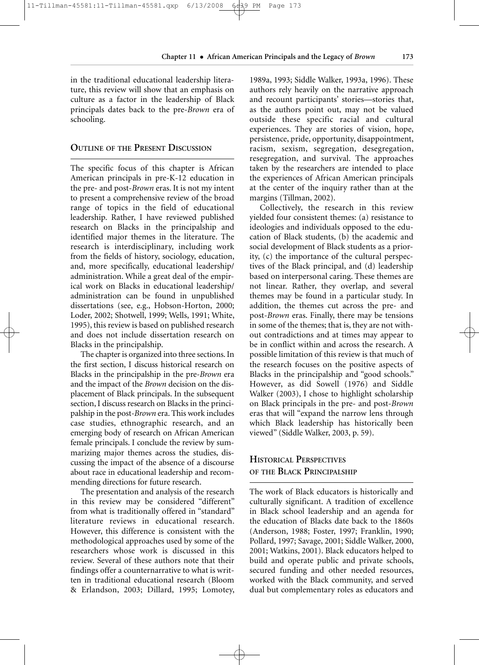in the traditional educational leadership literature, this review will show that an emphasis on culture as a factor in the leadership of Black principals dates back to the pre-*Brown* era of schooling.

#### **OUTLINE OF THE PRESENT DISCUSSION**

The specific focus of this chapter is African American principals in pre-K-12 education in the pre- and post-*Brown* eras. It is not my intent to present a comprehensive review of the broad range of topics in the field of educational leadership. Rather, I have reviewed published research on Blacks in the principalship and identified major themes in the literature. The research is interdisciplinary, including work from the fields of history, sociology, education, and, more specifically, educational leadership/ administration. While a great deal of the empirical work on Blacks in educational leadership/ administration can be found in unpublished dissertations (see, e.g., Hobson-Horton, 2000; Loder, 2002; Shotwell, 1999; Wells, 1991; White, 1995), this review is based on published research and does not include dissertation research on Blacks in the principalship.

The chapter is organized into three sections. In the first section, I discuss historical research on Blacks in the principalship in the pre-*Brown* era and the impact of the *Brown* decision on the displacement of Black principals. In the subsequent section, I discuss research on Blacks in the principalship in the post-*Brown* era. This work includes case studies, ethnographic research, and an emerging body of research on African American female principals. I conclude the review by summarizing major themes across the studies, discussing the impact of the absence of a discourse about race in educational leadership and recommending directions for future research.

The presentation and analysis of the research in this review may be considered "different" from what is traditionally offered in "standard" literature reviews in educational research. However, this difference is consistent with the methodological approaches used by some of the researchers whose work is discussed in this review. Several of these authors note that their findings offer a counternarrative to what is written in traditional educational research (Bloom & Erlandson, 2003; Dillard, 1995; Lomotey,

1989a, 1993; Siddle Walker, 1993a, 1996). These authors rely heavily on the narrative approach and recount participants' stories—stories that, as the authors point out, may not be valued outside these specific racial and cultural experiences. They are stories of vision, hope, persistence, pride, opportunity, disappointment, racism, sexism, segregation, desegregation, resegregation, and survival. The approaches taken by the researchers are intended to place the experiences of African American principals at the center of the inquiry rather than at the margins (Tillman, 2002).

Collectively, the research in this review yielded four consistent themes: (a) resistance to ideologies and individuals opposed to the education of Black students, (b) the academic and social development of Black students as a priority, (c) the importance of the cultural perspectives of the Black principal, and (d) leadership based on interpersonal caring. These themes are not linear. Rather, they overlap, and several themes may be found in a particular study. In addition, the themes cut across the pre- and post-*Brown* eras. Finally, there may be tensions in some of the themes; that is, they are not without contradictions and at times may appear to be in conflict within and across the research. A possible limitation of this review is that much of the research focuses on the positive aspects of Blacks in the principalship and "good schools." However, as did Sowell (1976) and Siddle Walker (2003), I chose to highlight scholarship on Black principals in the pre- and post-*Brown* eras that will "expand the narrow lens through which Black leadership has historically been viewed" (Siddle Walker, 2003, p. 59).

## **HISTORICAL PERSPECTIVES OF THE BLACK PRINCIPALSHIP**

The work of Black educators is historically and culturally significant. A tradition of excellence in Black school leadership and an agenda for the education of Blacks date back to the 1860s (Anderson, 1988; Foster, 1997; Franklin, 1990; Pollard, 1997; Savage, 2001; Siddle Walker, 2000, 2001; Watkins, 2001). Black educators helped to build and operate public and private schools, secured funding and other needed resources, worked with the Black community, and served dual but complementary roles as educators and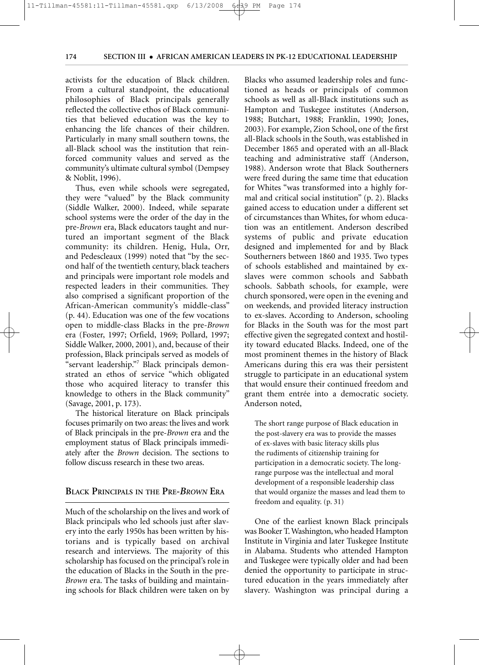PM

activists for the education of Black children. From a cultural standpoint, the educational philosophies of Black principals generally reflected the collective ethos of Black communities that believed education was the key to enhancing the life chances of their children. Particularly in many small southern towns, the all-Black school was the institution that reinforced community values and served as the community's ultimate cultural symbol (Dempsey & Noblit, 1996).

 $\frac{1}{\sqrt{1-\frac{1}{\sqrt{1-\frac{1}{\sqrt{1-\frac{1}{\sqrt{1-\frac{1}{\sqrt{1-\frac{1}{\sqrt{1-\frac{1}{\sqrt{1-\frac{1}{\sqrt{1-\frac{1}{\sqrt{1-\frac{1}{\sqrt{1-\frac{1}{\sqrt{1-\frac{1}{\sqrt{1-\frac{1}{\sqrt{1-\frac{1}{\sqrt{1-\frac{1}{\sqrt{1-\frac{1}{\sqrt{1-\frac{1}{\sqrt{1-\frac{1}{\sqrt{1-\frac{1}{\sqrt{1-\frac{1}{\sqrt{1-\frac{1}{\sqrt{1-\frac{1}{\sqrt{1-\frac{1}{\sqrt{1-\frac{1}{\sqrt{1-\frac{1$ 

Thus, even while schools were segregated, they were "valued" by the Black community (Siddle Walker, 2000). Indeed, while separate school systems were the order of the day in the pre-*Brown* era, Black educators taught and nurtured an important segment of the Black community: its children. Henig, Hula, Orr, and Pedescleaux (1999) noted that "by the second half of the twentieth century, black teachers and principals were important role models and respected leaders in their communities. They also comprised a significant proportion of the African-American community's middle-class" (p. 44). Education was one of the few vocations open to middle-class Blacks in the pre-*Brown* era (Foster, 1997; Orfield, 1969; Pollard, 1997; Siddle Walker, 2000, 2001), and, because of their profession, Black principals served as models of "servant leadership."7 Black principals demonstrated an ethos of service "which obligated those who acquired literacy to transfer this knowledge to others in the Black community" (Savage, 2001, p. 173).

The historical literature on Black principals focuses primarily on two areas: the lives and work of Black principals in the pre-*Brown* era and the employment status of Black principals immediately after the *Brown* decision. The sections to follow discuss research in these two areas.

#### **BLACK PRINCIPALS IN THE PRE-***BROWN* **ERA**

Much of the scholarship on the lives and work of Black principals who led schools just after slavery into the early 1950s has been written by historians and is typically based on archival research and interviews. The majority of this scholarship has focused on the principal's role in the education of Blacks in the South in the pre-*Brown* era. The tasks of building and maintaining schools for Black children were taken on by Blacks who assumed leadership roles and functioned as heads or principals of common schools as well as all-Black institutions such as Hampton and Tuskegee institutes (Anderson, 1988; Butchart, 1988; Franklin, 1990; Jones, 2003). For example, Zion School, one of the first all-Black schools in the South, was established in December 1865 and operated with an all-Black teaching and administrative staff (Anderson, 1988). Anderson wrote that Black Southerners were freed during the same time that education for Whites "was transformed into a highly formal and critical social institution" (p. 2). Blacks gained access to education under a different set of circumstances than Whites, for whom education was an entitlement. Anderson described systems of public and private education designed and implemented for and by Black Southerners between 1860 and 1935. Two types of schools established and maintained by exslaves were common schools and Sabbath schools. Sabbath schools, for example, were church sponsored, were open in the evening and on weekends, and provided literacy instruction to ex-slaves. According to Anderson, schooling for Blacks in the South was for the most part effective given the segregated context and hostility toward educated Blacks. Indeed, one of the most prominent themes in the history of Black Americans during this era was their persistent struggle to participate in an educational system that would ensure their continued freedom and grant them entrée into a democratic society. Anderson noted,

The short range purpose of Black education in the post-slavery era was to provide the masses of ex-slaves with basic literacy skills plus the rudiments of citizenship training for participation in a democratic society. The longrange purpose was the intellectual and moral development of a responsible leadership class that would organize the masses and lead them to freedom and equality. (p. 31)

One of the earliest known Black principals was Booker T. Washington, who headed Hampton Institute in Virginia and later Tuskegee Institute in Alabama. Students who attended Hampton and Tuskegee were typically older and had been denied the opportunity to participate in structured education in the years immediately after slavery. Washington was principal during a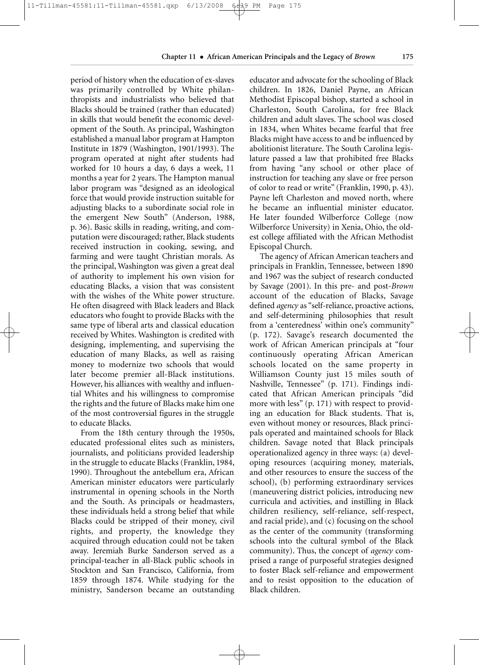11-Tillman-45581:11-Tillman-45581.qxp 6/13/2008 6:39 PM Page 175

**Chapter 11** • **African American Principals and the Legacy of** *Brown* **175**

period of history when the education of ex-slaves was primarily controlled by White philanthropists and industrialists who believed that Blacks should be trained (rather than educated) in skills that would benefit the economic development of the South. As principal, Washington established a manual labor program at Hampton Institute in 1879 (Washington, 1901/1993). The program operated at night after students had worked for 10 hours a day, 6 days a week, 11 months a year for 2 years. The Hampton manual labor program was "designed as an ideological force that would provide instruction suitable for adjusting blacks to a subordinate social role in the emergent New South" (Anderson, 1988, p. 36). Basic skills in reading, writing, and computation were discouraged; rather, Black students received instruction in cooking, sewing, and farming and were taught Christian morals. As the principal, Washington was given a great deal of authority to implement his own vision for educating Blacks, a vision that was consistent with the wishes of the White power structure. He often disagreed with Black leaders and Black educators who fought to provide Blacks with the same type of liberal arts and classical education received by Whites. Washington is credited with designing, implementing, and supervising the education of many Blacks, as well as raising money to modernize two schools that would later become premier all-Black institutions. However, his alliances with wealthy and influential Whites and his willingness to compromise the rights and the future of Blacks make him one of the most controversial figures in the struggle to educate Blacks.

From the 18th century through the 1950s, educated professional elites such as ministers, journalists, and politicians provided leadership in the struggle to educate Blacks (Franklin, 1984, 1990). Throughout the antebellum era, African American minister educators were particularly instrumental in opening schools in the North and the South. As principals or headmasters, these individuals held a strong belief that while Blacks could be stripped of their money, civil rights, and property, the knowledge they acquired through education could not be taken away. Jeremiah Burke Sanderson served as a principal-teacher in all-Black public schools in Stockton and San Francisco, California, from 1859 through 1874. While studying for the ministry, Sanderson became an outstanding educator and advocate for the schooling of Black children. In 1826, Daniel Payne, an African Methodist Episcopal bishop, started a school in Charleston, South Carolina, for free Black children and adult slaves. The school was closed in 1834, when Whites became fearful that free Blacks might have access to and be influenced by abolitionist literature. The South Carolina legislature passed a law that prohibited free Blacks from having "any school or other place of instruction for teaching any slave or free person of color to read or write" (Franklin, 1990, p. 43). Payne left Charleston and moved north, where he became an influential minister educator. He later founded Wilberforce College (now Wilberforce University) in Xenia, Ohio, the oldest college affiliated with the African Methodist Episcopal Church.

The agency of African American teachers and principals in Franklin, Tennessee, between 1890 and 1967 was the subject of research conducted by Savage (2001). In this pre- and post*-Brown* account of the education of Blacks, Savage defined *agency* as "self-reliance, proactive actions, and self-determining philosophies that result from a 'centeredness' within one's community" (p. 172). Savage's research documented the work of African American principals at "four continuously operating African American schools located on the same property in Williamson County just 15 miles south of Nashville, Tennessee" (p. 171). Findings indicated that African American principals "did more with less" (p. 171) with respect to providing an education for Black students. That is, even without money or resources, Black principals operated and maintained schools for Black children. Savage noted that Black principals operationalized agency in three ways: (a) developing resources (acquiring money, materials, and other resources to ensure the success of the school), (b) performing extraordinary services (maneuvering district policies, introducing new curricula and activities, and instilling in Black children resiliency, self-reliance, self-respect, and racial pride), and (c) focusing on the school as the center of the community (transforming schools into the cultural symbol of the Black community). Thus, the concept of *agency* comprised a range of purposeful strategies designed to foster Black self-reliance and empowerment and to resist opposition to the education of Black children.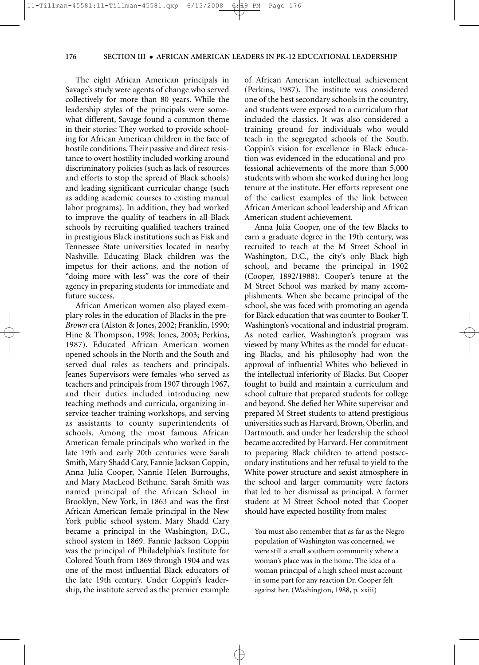11-Tillman-45581:11-Tillman-45581.qxp 6/13/2008 6:39 PM Page 176PM

**176 SECTION III** • **AFRICAN AMERICAN LEADERS IN PK-12 EDUCATIONAL LEADERSHIP**

The eight African American principals in Savage's study were agents of change who served collectively for more than 80 years. While the leadership styles of the principals were somewhat different, Savage found a common theme in their stories: They worked to provide schooling for African American children in the face of hostile conditions. Their passive and direct resistance to overt hostility included working around discriminatory policies (such as lack of resources and efforts to stop the spread of Black schools) and leading significant curricular change (such as adding academic courses to existing manual labor programs). In addition, they had worked to improve the quality of teachers in all-Black schools by recruiting qualified teachers trained in prestigious Black institutions such as Fisk and Tennessee State universities located in nearby Nashville. Educating Black children was the impetus for their actions, and the notion of "doing more with less" was the core of their agency in preparing students for immediate and future success.

African American women also played exemplary roles in the education of Blacks in the pre-*Brown* era (Alston & Jones, 2002; Franklin, 1990; Hine & Thompson, 1998; Jones, 2003; Perkins, 1987). Educated African American women opened schools in the North and the South and served dual roles as teachers and principals. Jeanes Supervisors were females who served as teachers and principals from 1907 through 1967, and their duties included introducing new teaching methods and curricula, organizing inservice teacher training workshops, and serving as assistants to county superintendents of schools. Among the most famous African American female principals who worked in the late 19th and early 20th centuries were Sarah Smith, Mary Shadd Cary, Fannie Jackson Coppin, Anna Julia Cooper, Nannie Helen Burroughs, and Mary MacLeod Bethune. Sarah Smith was named principal of the African School in Brooklyn, New York, in 1863 and was the first African American female principal in the New York public school system. Mary Shadd Cary became a principal in the Washington, D.C., school system in 1869. Fannie Jackson Coppin was the principal of Philadelphia's Institute for Colored Youth from 1869 through 1904 and was one of the most influential Black educators of the late 19th century. Under Coppin's leadership, the institute served as the premier example of African American intellectual achievement (Perkins, 1987). The institute was considered one of the best secondary schools in the country, and students were exposed to a curriculum that included the classics. It was also considered a training ground for individuals who would teach in the segregated schools of the South. Coppin's vision for excellence in Black education was evidenced in the educational and professional achievements of the more than 5,000 students with whom she worked during her long tenure at the institute. Her efforts represent one of the earliest examples of the link between African American school leadership and African American student achievement.

Anna Julia Cooper, one of the few Blacks to earn a graduate degree in the 19th century, was recruited to teach at the M Street School in Washington, D.C., the city's only Black high school, and became the principal in 1902 (Cooper, 1892/1988). Cooper's tenure at the M Street School was marked by many accomplishments. When she became principal of the school, she was faced with promoting an agenda for Black education that was counter to Booker T. Washington's vocational and industrial program. As noted earlier, Washington's program was viewed by many Whites as the model for educating Blacks, and his philosophy had won the approval of influential Whites who believed in the intellectual inferiority of Blacks. But Cooper fought to build and maintain a curriculum and school culture that prepared students for college and beyond. She defied her White supervisor and prepared M Street students to attend prestigious universities such as Harvard, Brown, Oberlin, and Dartmouth, and under her leadership the school became accredited by Harvard. Her commitment to preparing Black children to attend postsecondary institutions and her refusal to yield to the White power structure and sexist atmosphere in the school and larger community were factors that led to her dismissal as principal. A former student at M Street School noted that Cooper should have expected hostility from males:

You must also remember that as far as the Negro population of Washington was concerned, we were still a small southern community where a woman's place was in the home. The idea of a woman principal of a high school must account in some part for any reaction Dr. Cooper felt against her. (Washington, 1988, p. xxiii)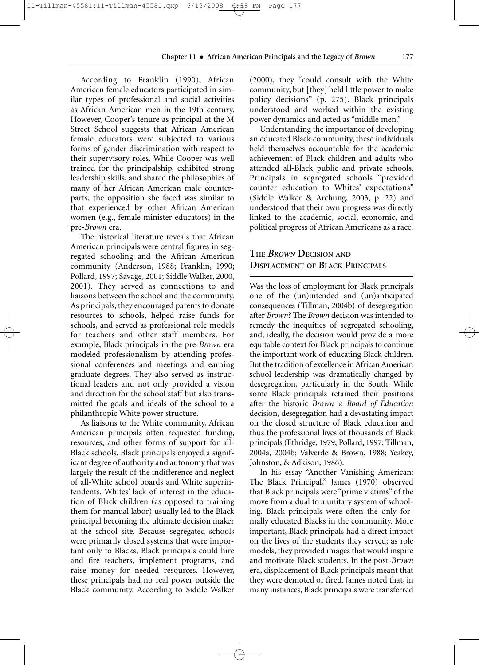According to Franklin (1990), African American female educators participated in similar types of professional and social activities as African American men in the 19th century. However, Cooper's tenure as principal at the M Street School suggests that African American female educators were subjected to various forms of gender discrimination with respect to their supervisory roles. While Cooper was well trained for the principalship, exhibited strong leadership skills, and shared the philosophies of many of her African American male counterparts, the opposition she faced was similar to that experienced by other African American women (e.g., female minister educators) in the pre-*Brown* era.

11-Tillman-45581:11-Tillman-45581.qxp 6/13/2008 6:39 PM Page 177

The historical literature reveals that African American principals were central figures in segregated schooling and the African American community (Anderson, 1988; Franklin, 1990; Pollard, 1997; Savage, 2001; Siddle Walker, 2000, 2001). They served as connections to and liaisons between the school and the community. As principals, they encouraged parents to donate resources to schools, helped raise funds for schools, and served as professional role models for teachers and other staff members. For example, Black principals in the pre-*Brown* era modeled professionalism by attending professional conferences and meetings and earning graduate degrees. They also served as instructional leaders and not only provided a vision and direction for the school staff but also transmitted the goals and ideals of the school to a philanthropic White power structure.

As liaisons to the White community, African American principals often requested funding, resources, and other forms of support for all-Black schools. Black principals enjoyed a significant degree of authority and autonomy that was largely the result of the indifference and neglect of all-White school boards and White superintendents. Whites' lack of interest in the education of Black children (as opposed to training them for manual labor) usually led to the Black principal becoming the ultimate decision maker at the school site. Because segregated schools were primarily closed systems that were important only to Blacks, Black principals could hire and fire teachers, implement programs, and raise money for needed resources. However, these principals had no real power outside the Black community. According to Siddle Walker

(2000), they "could consult with the White community, but [they] held little power to make policy decisions" (p. 275). Black principals understood and worked within the existing power dynamics and acted as "middle men."

Understanding the importance of developing an educated Black community, these individuals held themselves accountable for the academic achievement of Black children and adults who attended all-Black public and private schools. Principals in segregated schools "provided counter education to Whites' expectations" (Siddle Walker & Archung, 2003, p. 22) and understood that their own progress was directly linked to the academic, social, economic, and political progress of African Americans as a race.

# **THE** *BROWN* **DECISION AND DISPLACEMENT OF BLACK PRINCIPALS**

Was the loss of employment for Black principals one of the (un)intended and (un)anticipated consequences (Tillman, 2004b) of desegregation after *Brown*? The *Brown* decision was intended to remedy the inequities of segregated schooling, and, ideally, the decision would provide a more equitable context for Black principals to continue the important work of educating Black children. But the tradition of excellence in African American school leadership was dramatically changed by desegregation, particularly in the South. While some Black principals retained their positions after the historic *Brown v. Board of Education* decision, desegregation had a devastating impact on the closed structure of Black education and thus the professional lives of thousands of Black principals (Ethridge, 1979; Pollard, 1997; Tillman, 2004a, 2004b; Valverde & Brown, 1988; Yeakey, Johnston, & Adkison, 1986).

In his essay "Another Vanishing American: The Black Principal," James (1970) observed that Black principals were "prime victims" of the move from a dual to a unitary system of schooling. Black principals were often the only formally educated Blacks in the community. More important, Black principals had a direct impact on the lives of the students they served; as role models, they provided images that would inspire and motivate Black students. In the post*-Brown* era, displacement of Black principals meant that they were demoted or fired. James noted that, in many instances, Black principals were transferred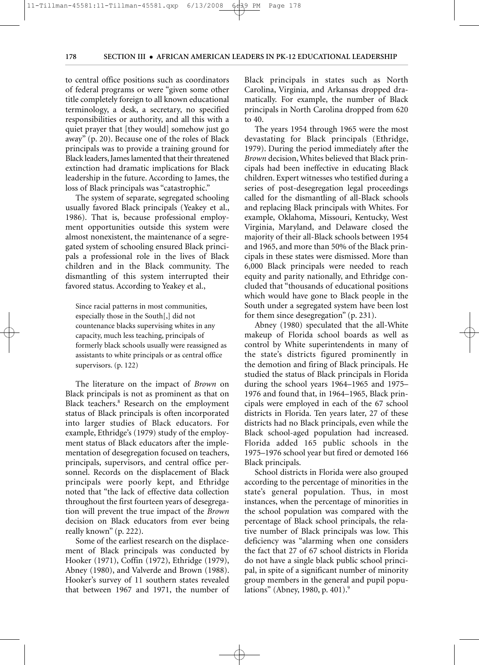PM

to central office positions such as coordinators of federal programs or were "given some other title completely foreign to all known educational terminology, a desk, a secretary, no specified responsibilities or authority, and all this with a quiet prayer that [they would] somehow just go away" (p. 20). Because one of the roles of Black principals was to provide a training ground for Black leaders, James lamented that their threatened extinction had dramatic implications for Black leadership in the future. According to James, the loss of Black principals was "catastrophic."

11-Tillman-45581:11-Tillman-45581.qxp 6/13/2008 6:39 PM Page 178

The system of separate, segregated schooling usually favored Black principals (Yeakey et al., 1986). That is, because professional employment opportunities outside this system were almost nonexistent, the maintenance of a segregated system of schooling ensured Black principals a professional role in the lives of Black children and in the Black community. The dismantling of this system interrupted their favored status. According to Yeakey et al.,

Since racial patterns in most communities, especially those in the South[,] did not countenance blacks supervising whites in any capacity, much less teaching, principals of formerly black schools usually were reassigned as assistants to white principals or as central office supervisors. (p. 122)

The literature on the impact of *Brown* on Black principals is not as prominent as that on Black teachers.<sup>8</sup> Research on the employment status of Black principals is often incorporated into larger studies of Black educators. For example, Ethridge's (1979) study of the employment status of Black educators after the implementation of desegregation focused on teachers, principals, supervisors, and central office personnel. Records on the displacement of Black principals were poorly kept, and Ethridge noted that "the lack of effective data collection throughout the first fourteen years of desegregation will prevent the true impact of the *Brown* decision on Black educators from ever being really known" (p. 222).

Some of the earliest research on the displacement of Black principals was conducted by Hooker (1971), Coffin (1972), Ethridge (1979), Abney (1980), and Valverde and Brown (1988). Hooker's survey of 11 southern states revealed that between 1967 and 1971, the number of Black principals in states such as North Carolina, Virginia, and Arkansas dropped dramatically. For example, the number of Black principals in North Carolina dropped from 620 to 40.

The years 1954 through 1965 were the most devastating for Black principals (Ethridge, 1979). During the period immediately after the *Brown* decision, Whites believed that Black principals had been ineffective in educating Black children. Expert witnesses who testified during a series of post-desegregation legal proceedings called for the dismantling of all-Black schools and replacing Black principals with Whites. For example, Oklahoma, Missouri, Kentucky, West Virginia, Maryland, and Delaware closed the majority of their all-Black schools between 1954 and 1965, and more than 50% of the Black principals in these states were dismissed. More than 6,000 Black principals were needed to reach equity and parity nationally, and Ethridge concluded that "thousands of educational positions which would have gone to Black people in the South under a segregated system have been lost for them since desegregation" (p. 231).

Abney (1980) speculated that the all-White makeup of Florida school boards as well as control by White superintendents in many of the state's districts figured prominently in the demotion and firing of Black principals. He studied the status of Black principals in Florida during the school years 1964–1965 and 1975– 1976 and found that, in 1964–1965, Black principals were employed in each of the 67 school districts in Florida. Ten years later, 27 of these districts had no Black principals, even while the Black school-aged population had increased. Florida added 165 public schools in the 1975–1976 school year but fired or demoted 166 Black principals.

School districts in Florida were also grouped according to the percentage of minorities in the state's general population. Thus, in most instances, when the percentage of minorities in the school population was compared with the percentage of Black school principals, the relative number of Black principals was low. This deficiency was "alarming when one considers the fact that 27 of 67 school districts in Florida do not have a single black public school principal, in spite of a significant number of minority group members in the general and pupil populations" (Abney, 1980, p. 401).<sup>9</sup>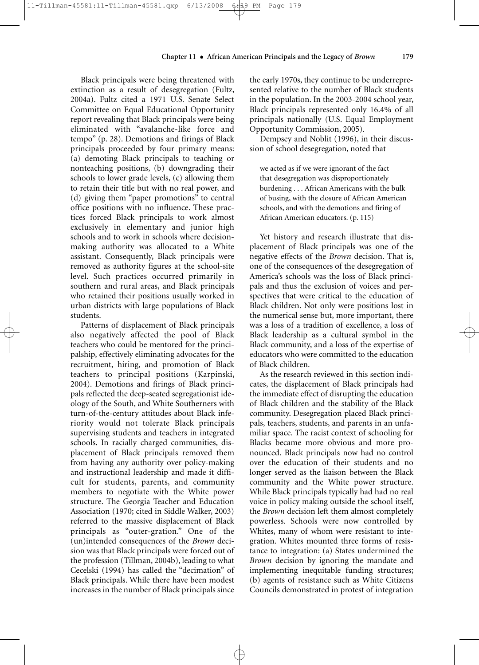Black principals were being threatened with extinction as a result of desegregation (Fultz, 2004a). Fultz cited a 1971 U.S. Senate Select Committee on Equal Educational Opportunity report revealing that Black principals were being eliminated with "avalanche-like force and tempo" (p. 28). Demotions and firings of Black principals proceeded by four primary means: (a) demoting Black principals to teaching or nonteaching positions, (b) downgrading their schools to lower grade levels, (c) allowing them to retain their title but with no real power, and (d) giving them "paper promotions" to central office positions with no influence. These practices forced Black principals to work almost exclusively in elementary and junior high schools and to work in schools where decisionmaking authority was allocated to a White assistant. Consequently, Black principals were removed as authority figures at the school-site level. Such practices occurred primarily in southern and rural areas, and Black principals who retained their positions usually worked in urban districts with large populations of Black students.

11-Tillman-45581:11-Tillman-45581.qxp 6/13/2008 6:39 PM Page 179

Patterns of displacement of Black principals also negatively affected the pool of Black teachers who could be mentored for the principalship, effectively eliminating advocates for the recruitment, hiring, and promotion of Black teachers to principal positions (Karpinski, 2004). Demotions and firings of Black principals reflected the deep-seated segregationist ideology of the South, and White Southerners with turn-of-the-century attitudes about Black inferiority would not tolerate Black principals supervising students and teachers in integrated schools. In racially charged communities, displacement of Black principals removed them from having any authority over policy-making and instructional leadership and made it difficult for students, parents, and community members to negotiate with the White power structure. The Georgia Teacher and Education Association (1970; cited in Siddle Walker, 2003) referred to the massive displacement of Black principals as "outer-gration." One of the (un)intended consequences of the *Brown* decision was that Black principals were forced out of the profession (Tillman, 2004b), leading to what Cecelski (1994) has called the "decimation" of Black principals. While there have been modest increases in the number of Black principals since the early 1970s, they continue to be underrepresented relative to the number of Black students in the population. In the 2003-2004 school year, Black principals represented only 16.4% of all principals nationally (U.S. Equal Employment Opportunity Commission, 2005).

Dempsey and Noblit (1996), in their discussion of school desegregation, noted that

we acted as if we were ignorant of the fact that desegregation was disproportionately burdening . . . African Americans with the bulk of busing, with the closure of African American schools, and with the demotions and firing of African American educators. (p. 115)

Yet history and research illustrate that displacement of Black principals was one of the negative effects of the *Brown* decision. That is, one of the consequences of the desegregation of America's schools was the loss of Black principals and thus the exclusion of voices and perspectives that were critical to the education of Black children. Not only were positions lost in the numerical sense but, more important, there was a loss of a tradition of excellence, a loss of Black leadership as a cultural symbol in the Black community, and a loss of the expertise of educators who were committed to the education of Black children.

As the research reviewed in this section indicates, the displacement of Black principals had the immediate effect of disrupting the education of Black children and the stability of the Black community. Desegregation placed Black principals, teachers, students, and parents in an unfamiliar space. The racist context of schooling for Blacks became more obvious and more pronounced. Black principals now had no control over the education of their students and no longer served as the liaison between the Black community and the White power structure. While Black principals typically had had no real voice in policy making outside the school itself, the *Brown* decision left them almost completely powerless. Schools were now controlled by Whites, many of whom were resistant to integration. Whites mounted three forms of resistance to integration: (a) States undermined the *Brown* decision by ignoring the mandate and implementing inequitable funding structures; (b) agents of resistance such as White Citizens Councils demonstrated in protest of integration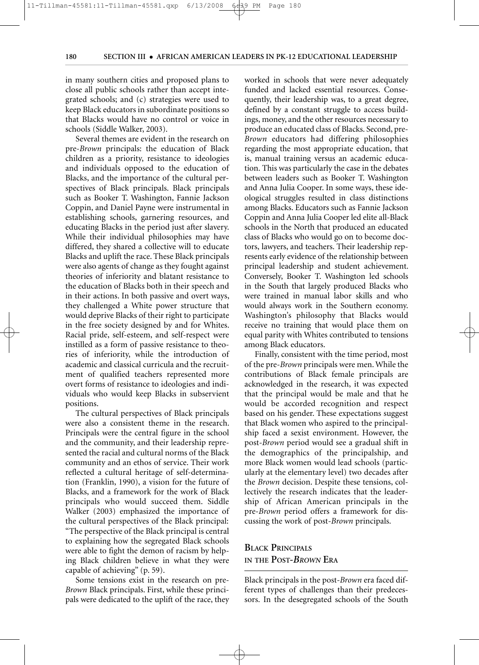PM

in many southern cities and proposed plans to close all public schools rather than accept integrated schools; and (c) strategies were used to keep Black educators in subordinate positions so that Blacks would have no control or voice in schools (Siddle Walker, 2003).

11-Tillman-45581:11-Tillman-45581.qxp 6/13/2008 6:39 PM Page 180

Several themes are evident in the research on pre-*Brown* principals: the education of Black children as a priority, resistance to ideologies and individuals opposed to the education of Blacks, and the importance of the cultural perspectives of Black principals. Black principals such as Booker T. Washington, Fannie Jackson Coppin, and Daniel Payne were instrumental in establishing schools, garnering resources, and educating Blacks in the period just after slavery. While their individual philosophies may have differed, they shared a collective will to educate Blacks and uplift the race. These Black principals were also agents of change as they fought against theories of inferiority and blatant resistance to the education of Blacks both in their speech and in their actions. In both passive and overt ways, they challenged a White power structure that would deprive Blacks of their right to participate in the free society designed by and for Whites. Racial pride, self-esteem, and self-respect were instilled as a form of passive resistance to theories of inferiority, while the introduction of academic and classical curricula and the recruitment of qualified teachers represented more overt forms of resistance to ideologies and individuals who would keep Blacks in subservient positions.

The cultural perspectives of Black principals were also a consistent theme in the research. Principals were the central figure in the school and the community, and their leadership represented the racial and cultural norms of the Black community and an ethos of service. Their work reflected a cultural heritage of self-determination (Franklin, 1990), a vision for the future of Blacks, and a framework for the work of Black principals who would succeed them. Siddle Walker (2003) emphasized the importance of the cultural perspectives of the Black principal: "The perspective of the Black principal is central to explaining how the segregated Black schools were able to fight the demon of racism by helping Black children believe in what they were capable of achieving" (p. 59).

Some tensions exist in the research on pre-*Brown* Black principals. First, while these principals were dedicated to the uplift of the race, they worked in schools that were never adequately funded and lacked essential resources. Consequently, their leadership was, to a great degree, defined by a constant struggle to access buildings, money, and the other resources necessary to produce an educated class of Blacks. Second, pre-*Brown* educators had differing philosophies regarding the most appropriate education, that is, manual training versus an academic education. This was particularly the case in the debates between leaders such as Booker T. Washington and Anna Julia Cooper. In some ways, these ideological struggles resulted in class distinctions among Blacks. Educators such as Fannie Jackson Coppin and Anna Julia Cooper led elite all-Black schools in the North that produced an educated class of Blacks who would go on to become doctors, lawyers, and teachers. Their leadership represents early evidence of the relationship between principal leadership and student achievement. Conversely, Booker T. Washington led schools in the South that largely produced Blacks who were trained in manual labor skills and who would always work in the Southern economy. Washington's philosophy that Blacks would receive no training that would place them on equal parity with Whites contributed to tensions among Black educators.

Finally, consistent with the time period, most of the pre-*Brown* principals were men. While the contributions of Black female principals are acknowledged in the research, it was expected that the principal would be male and that he would be accorded recognition and respect based on his gender. These expectations suggest that Black women who aspired to the principalship faced a sexist environment. However, the post*-Brown* period would see a gradual shift in the demographics of the principalship, and more Black women would lead schools (particularly at the elementary level) two decades after the *Brown* decision. Despite these tensions, collectively the research indicates that the leadership of African American principals in the pre-*Brown* period offers a framework for discussing the work of post*-Brown* principals.

#### **BLACK PRINCIPALS IN THE POST-***BROWN* **ERA**

Black principals in the post*-Brown* era faced different types of challenges than their predecessors. In the desegregated schools of the South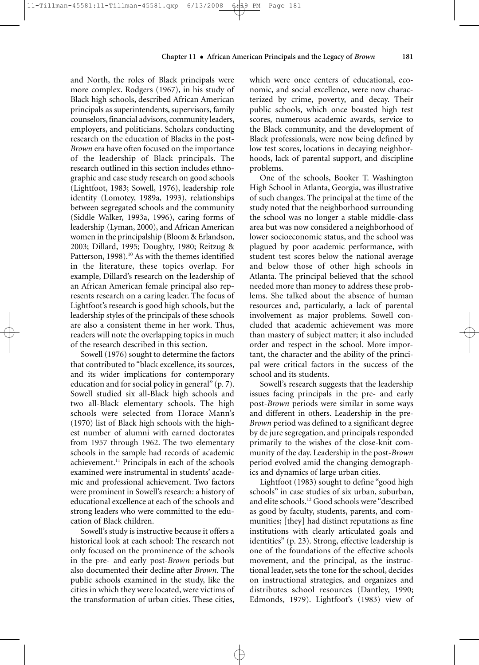

and North, the roles of Black principals were more complex. Rodgers (1967), in his study of Black high schools, described African American principals as superintendents, supervisors, family counselors, financial advisors, community leaders, employers, and politicians. Scholars conducting research on the education of Blacks in the post*-Brown* era have often focused on the importance of the leadership of Black principals. The research outlined in this section includes ethnographic and case study research on good schools (Lightfoot, 1983; Sowell, 1976), leadership role identity (Lomotey, 1989a, 1993), relationships between segregated schools and the community (Siddle Walker, 1993a, 1996), caring forms of leadership (Lyman, 2000), and African American women in the principalship (Bloom & Erlandson, 2003; Dillard, 1995; Doughty, 1980; Reitzug & Patterson, 1998).<sup>10</sup> As with the themes identified in the literature, these topics overlap. For example, Dillard's research on the leadership of an African American female principal also represents research on a caring leader. The focus of Lightfoot's research is good high schools, but the leadership styles of the principals of these schools are also a consistent theme in her work. Thus, readers will note the overlapping topics in much of the research described in this section.

Sowell (1976) sought to determine the factors that contributed to "black excellence, its sources, and its wider implications for contemporary education and for social policy in general" (p. 7). Sowell studied six all-Black high schools and two all-Black elementary schools. The high schools were selected from Horace Mann's (1970) list of Black high schools with the highest number of alumni with earned doctorates from 1957 through 1962. The two elementary schools in the sample had records of academic achievement.11 Principals in each of the schools examined were instrumental in students' academic and professional achievement. Two factors were prominent in Sowell's research: a history of educational excellence at each of the schools and strong leaders who were committed to the education of Black children.

Sowell's study is instructive because it offers a historical look at each school: The research not only focused on the prominence of the schools in the pre- and early post*-Brown* periods but also documented their decline after *Brown.* The public schools examined in the study, like the cities in which they were located, were victims of the transformation of urban cities. These cities,

which were once centers of educational, economic, and social excellence, were now characterized by crime, poverty, and decay. Their public schools, which once boasted high test scores, numerous academic awards, service to the Black community, and the development of Black professionals, were now being defined by low test scores, locations in decaying neighborhoods, lack of parental support, and discipline problems.

One of the schools, Booker T. Washington High School in Atlanta, Georgia, was illustrative of such changes. The principal at the time of the study noted that the neighborhood surrounding the school was no longer a stable middle-class area but was now considered a neighborhood of lower socioeconomic status, and the school was plagued by poor academic performance, with student test scores below the national average and below those of other high schools in Atlanta. The principal believed that the school needed more than money to address these problems. She talked about the absence of human resources and, particularly, a lack of parental involvement as major problems. Sowell concluded that academic achievement was more than mastery of subject matter; it also included order and respect in the school. More important, the character and the ability of the principal were critical factors in the success of the school and its students.

Sowell's research suggests that the leadership issues facing principals in the pre- and early post*-Brown* periods were similar in some ways and different in others. Leadership in the pre-*Brown* period was defined to a significant degree by de jure segregation, and principals responded primarily to the wishes of the close-knit community of the day. Leadership in the post*-Brown* period evolved amid the changing demographics and dynamics of large urban cities.

Lightfoot (1983) sought to define "good high schools" in case studies of six urban, suburban, and elite schools.12 Good schools were "described as good by faculty, students, parents, and communities; [they] had distinct reputations as fine institutions with clearly articulated goals and identities" (p. 23). Strong, effective leadership is one of the foundations of the effective schools movement, and the principal, as the instructional leader, sets the tone for the school, decides on instructional strategies, and organizes and distributes school resources (Dantley, 1990; Edmonds, 1979). Lightfoot's (1983) view of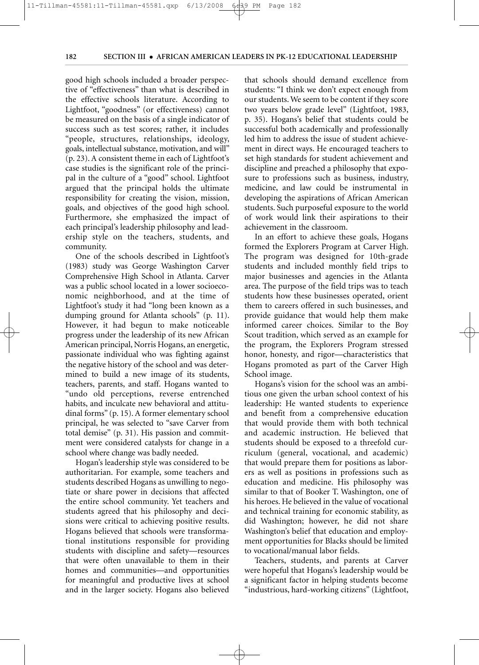good high schools included a broader perspective of "effectiveness" than what is described in the effective schools literature. According to Lightfoot, "goodness" (or effectiveness) cannot be measured on the basis of a single indicator of success such as test scores; rather, it includes "people, structures, relationships, ideology, goals, intellectual substance, motivation, and will" (p. 23). A consistent theme in each of Lightfoot's case studies is the significant role of the principal in the culture of a "good" school. Lightfoot argued that the principal holds the ultimate responsibility for creating the vision, mission, goals, and objectives of the good high school. Furthermore, she emphasized the impact of each principal's leadership philosophy and leadership style on the teachers, students, and community.

One of the schools described in Lightfoot's (1983) study was George Washington Carver Comprehensive High School in Atlanta. Carver was a public school located in a lower socioeconomic neighborhood, and at the time of Lightfoot's study it had "long been known as a dumping ground for Atlanta schools" (p. 11). However, it had begun to make noticeable progress under the leadership of its new African American principal, Norris Hogans, an energetic, passionate individual who was fighting against the negative history of the school and was determined to build a new image of its students, teachers, parents, and staff. Hogans wanted to "undo old perceptions, reverse entrenched habits, and inculcate new behavioral and attitudinal forms" (p. 15). A former elementary school principal, he was selected to "save Carver from total demise" (p. 31). His passion and commitment were considered catalysts for change in a school where change was badly needed.

Hogan's leadership style was considered to be authoritarian. For example, some teachers and students described Hogans as unwilling to negotiate or share power in decisions that affected the entire school community. Yet teachers and students agreed that his philosophy and decisions were critical to achieving positive results. Hogans believed that schools were transformational institutions responsible for providing students with discipline and safety—resources that were often unavailable to them in their homes and communities—and opportunities for meaningful and productive lives at school and in the larger society. Hogans also believed that schools should demand excellence from students: "I think we don't expect enough from our students. We seem to be content if they score two years below grade level" (Lightfoot, 1983, p. 35). Hogans's belief that students could be successful both academically and professionally led him to address the issue of student achievement in direct ways. He encouraged teachers to set high standards for student achievement and discipline and preached a philosophy that exposure to professions such as business, industry, medicine, and law could be instrumental in developing the aspirations of African American students. Such purposeful exposure to the world of work would link their aspirations to their achievement in the classroom.

In an effort to achieve these goals, Hogans formed the Explorers Program at Carver High. The program was designed for 10th-grade students and included monthly field trips to major businesses and agencies in the Atlanta area. The purpose of the field trips was to teach students how these businesses operated, orient them to careers offered in such businesses, and provide guidance that would help them make informed career choices. Similar to the Boy Scout tradition, which served as an example for the program, the Explorers Program stressed honor, honesty, and rigor—characteristics that Hogans promoted as part of the Carver High School image.

Hogans's vision for the school was an ambitious one given the urban school context of his leadership: He wanted students to experience and benefit from a comprehensive education that would provide them with both technical and academic instruction. He believed that students should be exposed to a threefold curriculum (general, vocational, and academic) that would prepare them for positions as laborers as well as positions in professions such as education and medicine. His philosophy was similar to that of Booker T. Washington, one of his heroes. He believed in the value of vocational and technical training for economic stability, as did Washington; however, he did not share Washington's belief that education and employment opportunities for Blacks should be limited to vocational/manual labor fields.

Teachers, students, and parents at Carver were hopeful that Hogans's leadership would be a significant factor in helping students become "industrious, hard-working citizens" (Lightfoot,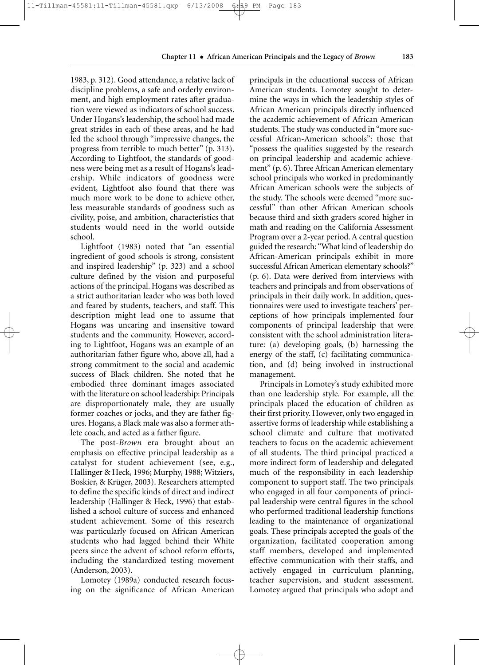1983, p. 312). Good attendance, a relative lack of discipline problems, a safe and orderly environment, and high employment rates after graduation were viewed as indicators of school success. Under Hogans's leadership, the school had made great strides in each of these areas, and he had led the school through "impressive changes, the progress from terrible to much better" (p. 313). According to Lightfoot, the standards of goodness were being met as a result of Hogans's leadership. While indicators of goodness were evident, Lightfoot also found that there was much more work to be done to achieve other, less measurable standards of goodness such as civility, poise, and ambition, characteristics that students would need in the world outside school.

Lightfoot (1983) noted that "an essential ingredient of good schools is strong, consistent and inspired leadership" (p. 323) and a school culture defined by the vision and purposeful actions of the principal. Hogans was described as a strict authoritarian leader who was both loved and feared by students, teachers, and staff. This description might lead one to assume that Hogans was uncaring and insensitive toward students and the community. However, according to Lightfoot, Hogans was an example of an authoritarian father figure who, above all, had a strong commitment to the social and academic success of Black children. She noted that he embodied three dominant images associated with the literature on school leadership: Principals are disproportionately male, they are usually former coaches or jocks, and they are father figures. Hogans, a Black male was also a former athlete coach, and acted as a father figure.

The post*-Brown* era brought about an emphasis on effective principal leadership as a catalyst for student achievement (see, e.g., Hallinger & Heck, 1996; Murphy, 1988; Witziers, Boskier, & Krüger, 2003). Researchers attempted to define the specific kinds of direct and indirect leadership (Hallinger & Heck, 1996) that established a school culture of success and enhanced student achievement. Some of this research was particularly focused on African American students who had lagged behind their White peers since the advent of school reform efforts, including the standardized testing movement (Anderson, 2003).

Lomotey (1989a) conducted research focusing on the significance of African American principals in the educational success of African American students. Lomotey sought to determine the ways in which the leadership styles of African American principals directly influenced the academic achievement of African American students. The study was conducted in "more successful African-American schools": those that "possess the qualities suggested by the research on principal leadership and academic achievement" (p. 6). Three African American elementary school principals who worked in predominantly African American schools were the subjects of the study. The schools were deemed "more successful" than other African American schools because third and sixth graders scored higher in math and reading on the California Assessment Program over a 2-year period. A central question guided the research: "What kind of leadership do African-American principals exhibit in more successful African American elementary schools?" (p. 6). Data were derived from interviews with teachers and principals and from observations of principals in their daily work. In addition, questionnaires were used to investigate teachers' perceptions of how principals implemented four components of principal leadership that were consistent with the school administration literature: (a) developing goals, (b) harnessing the energy of the staff, (c) facilitating communication, and (d) being involved in instructional management.

Principals in Lomotey's study exhibited more than one leadership style. For example, all the principals placed the education of children as their first priority. However, only two engaged in assertive forms of leadership while establishing a school climate and culture that motivated teachers to focus on the academic achievement of all students. The third principal practiced a more indirect form of leadership and delegated much of the responsibility in each leadership component to support staff. The two principals who engaged in all four components of principal leadership were central figures in the school who performed traditional leadership functions leading to the maintenance of organizational goals. These principals accepted the goals of the organization, facilitated cooperation among staff members, developed and implemented effective communication with their staffs, and actively engaged in curriculum planning, teacher supervision, and student assessment. Lomotey argued that principals who adopt and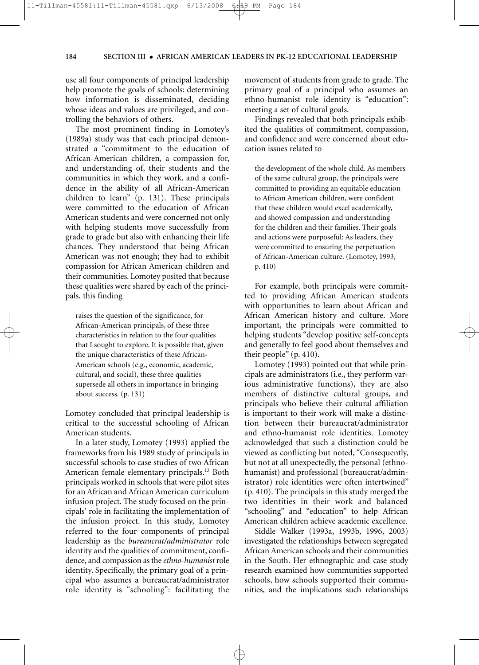PM

use all four components of principal leadership help promote the goals of schools: determining how information is disseminated, deciding whose ideas and values are privileged, and controlling the behaviors of others.

11-Tillman-45581:11-Tillman-45581.qxp 6/13/2008 6:39 PM Page 184

The most prominent finding in Lomotey's (1989a) study was that each principal demonstrated a "commitment to the education of African-American children, a compassion for, and understanding of, their students and the communities in which they work, and a confidence in the ability of all African-American children to learn" (p. 131). These principals were committed to the education of African American students and were concerned not only with helping students move successfully from grade to grade but also with enhancing their life chances. They understood that being African American was not enough; they had to exhibit compassion for African American children and their communities. Lomotey posited that because these qualities were shared by each of the principals, this finding

raises the question of the significance, for African-American principals, of these three characteristics in relation to the four qualities that I sought to explore. It is possible that, given the unique characteristics of these African-American schools (e.g., economic, academic, cultural, and social), these three qualities supersede all others in importance in bringing about success. (p. 131)

Lomotey concluded that principal leadership is critical to the successful schooling of African American students.

In a later study, Lomotey (1993) applied the frameworks from his 1989 study of principals in successful schools to case studies of two African American female elementary principals.13 Both principals worked in schools that were pilot sites for an African and African American curriculum infusion project. The study focused on the principals' role in facilitating the implementation of the infusion project. In this study, Lomotey referred to the four components of principal leadership as the *bureaucrat/administrator* role identity and the qualities of commitment, confidence, and compassion as the *ethno-humanist*role identity. Specifically, the primary goal of a principal who assumes a bureaucrat/administrator role identity is "schooling": facilitating the movement of students from grade to grade. The primary goal of a principal who assumes an ethno-humanist role identity is "education": meeting a set of cultural goals.

Findings revealed that both principals exhibited the qualities of commitment, compassion, and confidence and were concerned about education issues related to

the development of the whole child. As members of the same cultural group, the principals were committed to providing an equitable education to African American children, were confident that these children would excel academically, and showed compassion and understanding for the children and their families. Their goals and actions were purposeful: As leaders, they were committed to ensuring the perpetuation of African-American culture. (Lomotey, 1993, p. 410)

For example, both principals were committed to providing African American students with opportunities to learn about African and African American history and culture. More important, the principals were committed to helping students "develop positive self-concepts and generally to feel good about themselves and their people" (p. 410).

Lomotey (1993) pointed out that while principals are administrators (i.e., they perform various administrative functions), they are also members of distinctive cultural groups, and principals who believe their cultural affiliation is important to their work will make a distinction between their bureaucrat/administrator and ethno-humanist role identities. Lomotey acknowledged that such a distinction could be viewed as conflicting but noted, "Consequently, but not at all unexpectedly, the personal (ethnohumanist) and professional (bureaucrat/administrator) role identities were often intertwined" (p. 410). The principals in this study merged the two identities in their work and balanced "schooling" and "education" to help African American children achieve academic excellence.

Siddle Walker (1993a, 1993b, 1996, 2003) investigated the relationships between segregated African American schools and their communities in the South. Her ethnographic and case study research examined how communities supported schools, how schools supported their communities, and the implications such relationships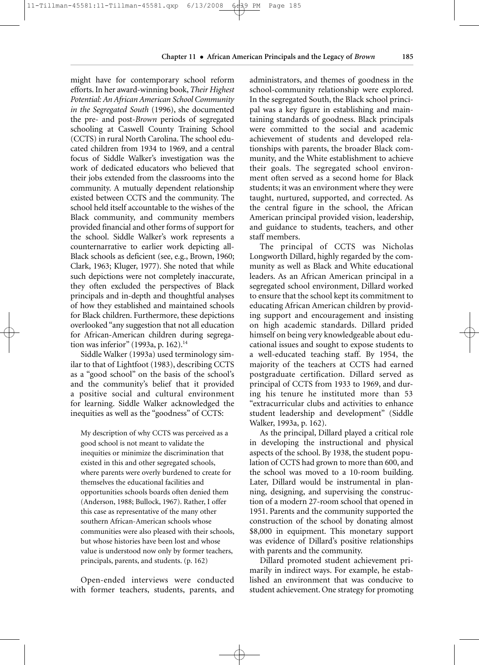might have for contemporary school reform efforts. In her award-winning book, *Their Highest Potential: An African American School Community in the Segregated South* (1996), she documented the pre- and post-*Brown* periods of segregated schooling at Caswell County Training School (CCTS) in rural North Carolina. The school educated children from 1934 to 1969, and a central focus of Siddle Walker's investigation was the work of dedicated educators who believed that their jobs extended from the classrooms into the community. A mutually dependent relationship existed between CCTS and the community. The school held itself accountable to the wishes of the Black community, and community members provided financial and other forms of support for the school. Siddle Walker's work represents a counternarrative to earlier work depicting all-Black schools as deficient (see, e.g., Brown, 1960; Clark, 1963; Kluger, 1977). She noted that while such depictions were not completely inaccurate, they often excluded the perspectives of Black principals and in-depth and thoughtful analyses of how they established and maintained schools for Black children. Furthermore, these depictions overlooked "any suggestion that not all education for African-American children during segregation was inferior" (1993a, p. 162).<sup>14</sup>

Siddle Walker (1993a) used terminology similar to that of Lightfoot (1983), describing CCTS as a "good school" on the basis of the school's and the community's belief that it provided a positive social and cultural environment for learning. Siddle Walker acknowledged the inequities as well as the "goodness" of CCTS:

My description of why CCTS was perceived as a good school is not meant to validate the inequities or minimize the discrimination that existed in this and other segregated schools, where parents were overly burdened to create for themselves the educational facilities and opportunities schools boards often denied them (Anderson, 1988; Bullock, 1967). Rather, I offer this case as representative of the many other southern African-American schools whose communities were also pleased with their schools, but whose histories have been lost and whose value is understood now only by former teachers, principals, parents, and students. (p. 162)

Open-ended interviews were conducted with former teachers, students, parents, and administrators, and themes of goodness in the school-community relationship were explored. In the segregated South, the Black school principal was a key figure in establishing and maintaining standards of goodness. Black principals were committed to the social and academic achievement of students and developed relationships with parents, the broader Black community, and the White establishment to achieve their goals. The segregated school environment often served as a second home for Black students; it was an environment where they were taught, nurtured, supported, and corrected. As the central figure in the school, the African American principal provided vision, leadership, and guidance to students, teachers, and other staff members.

The principal of CCTS was Nicholas Longworth Dillard, highly regarded by the community as well as Black and White educational leaders. As an African American principal in a segregated school environment, Dillard worked to ensure that the school kept its commitment to educating African American children by providing support and encouragement and insisting on high academic standards. Dillard prided himself on being very knowledgeable about educational issues and sought to expose students to a well-educated teaching staff. By 1954, the majority of the teachers at CCTS had earned postgraduate certification. Dillard served as principal of CCTS from 1933 to 1969, and during his tenure he instituted more than 53 "extracurricular clubs and activities to enhance student leadership and development" (Siddle Walker, 1993a, p. 162).

As the principal, Dillard played a critical role in developing the instructional and physical aspects of the school. By 1938, the student population of CCTS had grown to more than 600, and the school was moved to a 10-room building. Later, Dillard would be instrumental in planning, designing, and supervising the construction of a modern 27-room school that opened in 1951. Parents and the community supported the construction of the school by donating almost \$8,000 in equipment. This monetary support was evidence of Dillard's positive relationships with parents and the community.

Dillard promoted student achievement primarily in indirect ways. For example, he established an environment that was conducive to student achievement. One strategy for promoting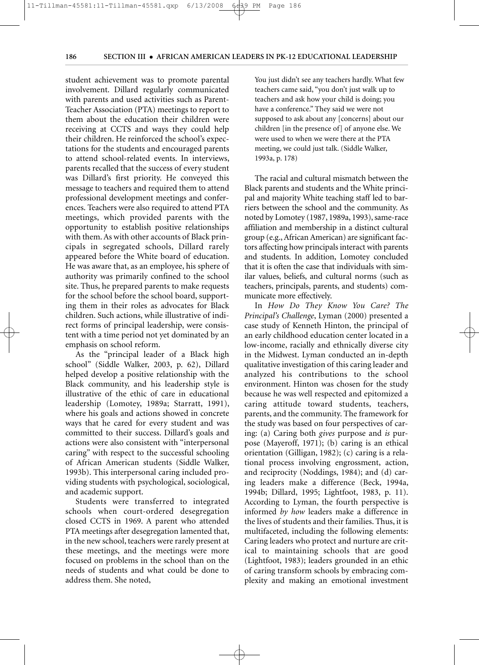#### 11-Tillman-45581:11-Tillman-45581.qxp 6/13/2008 6:39 PM Page 186PM

**186 SECTION III** • **AFRICAN AMERICAN LEADERS IN PK-12 EDUCATIONAL LEADERSHIP**

student achievement was to promote parental involvement. Dillard regularly communicated with parents and used activities such as Parent-Teacher Association (PTA) meetings to report to them about the education their children were receiving at CCTS and ways they could help their children. He reinforced the school's expectations for the students and encouraged parents to attend school-related events. In interviews, parents recalled that the success of every student was Dillard's first priority. He conveyed this message to teachers and required them to attend professional development meetings and conferences. Teachers were also required to attend PTA meetings, which provided parents with the opportunity to establish positive relationships with them. As with other accounts of Black principals in segregated schools, Dillard rarely appeared before the White board of education. He was aware that, as an employee, his sphere of authority was primarily confined to the school site. Thus, he prepared parents to make requests for the school before the school board, supporting them in their roles as advocates for Black children. Such actions, while illustrative of indirect forms of principal leadership, were consistent with a time period not yet dominated by an emphasis on school reform.

As the "principal leader of a Black high school" (Siddle Walker, 2003, p. 62), Dillard helped develop a positive relationship with the Black community, and his leadership style is illustrative of the ethic of care in educational leadership (Lomotey, 1989a; Starratt, 1991), where his goals and actions showed in concrete ways that he cared for every student and was committed to their success. Dillard's goals and actions were also consistent with "interpersonal caring" with respect to the successful schooling of African American students (Siddle Walker, 1993b). This interpersonal caring included providing students with psychological, sociological, and academic support.

Students were transferred to integrated schools when court-ordered desegregation closed CCTS in 1969. A parent who attended PTA meetings after desegregation lamented that, in the new school, teachers were rarely present at these meetings, and the meetings were more focused on problems in the school than on the needs of students and what could be done to address them. She noted,

You just didn't see any teachers hardly. What few teachers came said, "you don't just walk up to teachers and ask how your child is doing; you have a conference." They said we were not supposed to ask about any [concerns] about our children [in the presence of] of anyone else. We were used to when we were there at the PTA meeting, we could just talk. (Siddle Walker, 1993a, p. 178)

The racial and cultural mismatch between the Black parents and students and the White principal and majority White teaching staff led to barriers between the school and the community. As noted by Lomotey (1987, 1989a, 1993), same-race affiliation and membership in a distinct cultural group (e.g., African American) are significant factors affecting how principals interact with parents and students. In addition, Lomotey concluded that it is often the case that individuals with similar values, beliefs, and cultural norms (such as teachers, principals, parents, and students) communicate more effectively.

In *How Do They Know You Care? The Principal's Challenge*, Lyman (2000) presented a case study of Kenneth Hinton, the principal of an early childhood education center located in a low-income, racially and ethnically diverse city in the Midwest. Lyman conducted an in-depth qualitative investigation of this caring leader and analyzed his contributions to the school environment. Hinton was chosen for the study because he was well respected and epitomized a caring attitude toward students, teachers, parents, and the community. The framework for the study was based on four perspectives of caring: (a) Caring both *gives* purpose and *is* purpose (Mayeroff, 1971); (b) caring is an ethical orientation (Gilligan, 1982); (c) caring is a relational process involving engrossment, action, and reciprocity (Noddings, 1984); and (d) caring leaders make a difference (Beck, 1994a, 1994b; Dillard, 1995; Lightfoot, 1983, p. 11). According to Lyman, the fourth perspective is informed *by how* leaders make a difference in the lives of students and their families. Thus, it is multifaceted, including the following elements: Caring leaders who protect and nurture are critical to maintaining schools that are good (Lightfoot, 1983); leaders grounded in an ethic of caring transform schools by embracing complexity and making an emotional investment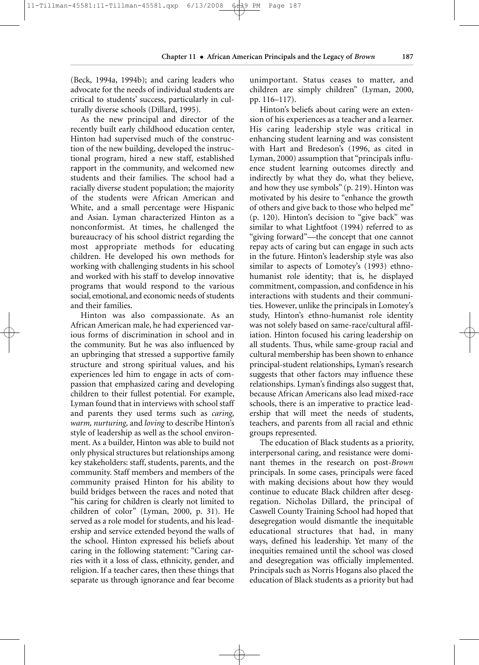(Beck, 1994a, 1994b); and caring leaders who advocate for the needs of individual students are critical to students' success, particularly in culturally diverse schools (Dillard, 1995).

As the new principal and director of the recently built early childhood education center, Hinton had supervised much of the construction of the new building, developed the instructional program, hired a new staff, established rapport in the community, and welcomed new students and their families. The school had a racially diverse student population; the majority of the students were African American and White, and a small percentage were Hispanic and Asian. Lyman characterized Hinton as a nonconformist. At times, he challenged the bureaucracy of his school district regarding the most appropriate methods for educating children. He developed his own methods for working with challenging students in his school and worked with his staff to develop innovative programs that would respond to the various social, emotional, and economic needs of students and their families.

Hinton was also compassionate. As an African American male, he had experienced various forms of discrimination in school and in the community. But he was also influenced by an upbringing that stressed a supportive family structure and strong spiritual values, and his experiences led him to engage in acts of compassion that emphasized caring and developing children to their fullest potential. For example, Lyman found that in interviews with school staff and parents they used terms such as *caring, warm, nurturing,* and *loving* to describe Hinton's style of leadership as well as the school environment. As a builder, Hinton was able to build not only physical structures but relationships among key stakeholders: staff, students, parents, and the community. Staff members and members of the community praised Hinton for his ability to build bridges between the races and noted that "his caring for children is clearly not limited to children of color" (Lyman, 2000, p. 31). He served as a role model for students, and his leadership and service extended beyond the walls of the school. Hinton expressed his beliefs about caring in the following statement: "Caring carries with it a loss of class, ethnicity, gender, and religion. If a teacher cares, then these things that separate us through ignorance and fear become unimportant. Status ceases to matter, and children are simply children" (Lyman, 2000, pp. 116–117).

Hinton's beliefs about caring were an extension of his experiences as a teacher and a learner. His caring leadership style was critical in enhancing student learning and was consistent with Hart and Bredeson's (1996, as cited in Lyman, 2000) assumption that "principals influence student learning outcomes directly and indirectly by what they do, what they believe, and how they use symbols" (p. 219). Hinton was motivated by his desire to "enhance the growth of others and give back to those who helped me" (p. 120). Hinton's decision to "give back" was similar to what Lightfoot (1994) referred to as "giving forward"—the concept that one cannot repay acts of caring but can engage in such acts in the future. Hinton's leadership style was also similar to aspects of Lomotey's (1993) ethnohumanist role identity; that is, he displayed commitment, compassion, and confidence in his interactions with students and their communities. However, unlike the principals in Lomotey's study, Hinton's ethno-humanist role identity was not solely based on same-race/cultural affiliation. Hinton focused his caring leadership on all students. Thus, while same-group racial and cultural membership has been shown to enhance principal-student relationships, Lyman's research suggests that other factors may influence these relationships. Lyman's findings also suggest that, because African Americans also lead mixed-race schools, there is an imperative to practice leadership that will meet the needs of students, teachers, and parents from all racial and ethnic groups represented.

The education of Black students as a priority, interpersonal caring, and resistance were dominant themes in the research on post*-Brown* principals. In some cases, principals were faced with making decisions about how they would continue to educate Black children after desegregation. Nicholas Dillard, the principal of Caswell County Training School had hoped that desegregation would dismantle the inequitable educational structures that had, in many ways, defined his leadership. Yet many of the inequities remained until the school was closed and desegregation was officially implemented. Principals such as Norris Hogans also placed the education of Black students as a priority but had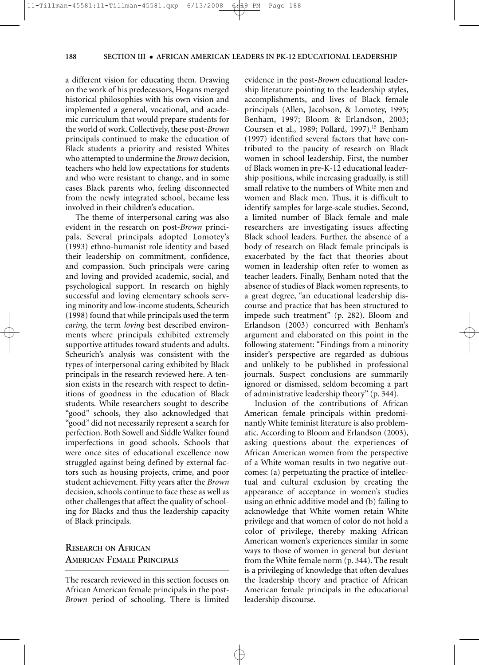11-Tillman-45581:11-Tillman-45581.qxp 6/13/2008 6:39 PM Page 188

**188 SECTION III** • **AFRICAN AMERICAN LEADERS IN PK-12 EDUCATIONAL LEADERSHIP**

PM

a different vision for educating them. Drawing on the work of his predecessors, Hogans merged historical philosophies with his own vision and implemented a general, vocational, and academic curriculum that would prepare students for the world of work. Collectively, these post*-Brown* principals continued to make the education of Black students a priority and resisted Whites who attempted to undermine the *Brown* decision, teachers who held low expectations for students and who were resistant to change, and in some cases Black parents who, feeling disconnected from the newly integrated school, became less involved in their children's education.

The theme of interpersonal caring was also evident in the research on post-*Brown* principals. Several principals adopted Lomotey's (1993) ethno-humanist role identity and based their leadership on commitment, confidence, and compassion. Such principals were caring and loving and provided academic, social, and psychological support. In research on highly successful and loving elementary schools serving minority and low-income students, Scheurich (1998) found that while principals used the term *caring*, the term *loving* best described environments where principals exhibited extremely supportive attitudes toward students and adults. Scheurich's analysis was consistent with the types of interpersonal caring exhibited by Black principals in the research reviewed here. A tension exists in the research with respect to definitions of goodness in the education of Black students. While researchers sought to describe "good" schools, they also acknowledged that "good" did not necessarily represent a search for perfection. Both Sowell and Siddle Walker found imperfections in good schools. Schools that were once sites of educational excellence now struggled against being defined by external factors such as housing projects, crime, and poor student achievement. Fifty years after the *Brown* decision, schools continue to face these as well as other challenges that affect the quality of schooling for Blacks and thus the leadership capacity of Black principals.

### **RESEARCH ON AFRICAN AMERICAN FEMALE PRINCIPALS**

The research reviewed in this section focuses on African American female principals in the post*-Brown* period of schooling. There is limited evidence in the post-*Brown* educational leadership literature pointing to the leadership styles, accomplishments, and lives of Black female principals (Allen, Jacobson, & Lomotey, 1995; Benham, 1997; Bloom & Erlandson, 2003; Coursen et al., 1989; Pollard, 1997).<sup>15</sup> Benham (1997) identified several factors that have contributed to the paucity of research on Black women in school leadership. First, the number of Black women in pre-K-12 educational leadership positions, while increasing gradually, is still small relative to the numbers of White men and women and Black men. Thus, it is difficult to identify samples for large-scale studies. Second, a limited number of Black female and male researchers are investigating issues affecting Black school leaders. Further, the absence of a body of research on Black female principals is exacerbated by the fact that theories about women in leadership often refer to women as teacher leaders. Finally, Benham noted that the absence of studies of Black women represents, to a great degree, "an educational leadership discourse and practice that has been structured to impede such treatment" (p. 282). Bloom and Erlandson (2003) concurred with Benham's argument and elaborated on this point in the following statement: "Findings from a minority insider's perspective are regarded as dubious and unlikely to be published in professional journals. Suspect conclusions are summarily ignored or dismissed, seldom becoming a part of administrative leadership theory" (p. 344).

Inclusion of the contributions of African American female principals within predominantly White feminist literature is also problematic. According to Bloom and Erlandson (2003), asking questions about the experiences of African American women from the perspective of a White woman results in two negative outcomes: (a) perpetuating the practice of intellectual and cultural exclusion by creating the appearance of acceptance in women's studies using an ethnic additive model and (b) failing to acknowledge that White women retain White privilege and that women of color do not hold a color of privilege, thereby making African American women's experiences similar in some ways to those of women in general but deviant from the White female norm (p. 344). The result is a privileging of knowledge that often devalues the leadership theory and practice of African American female principals in the educational leadership discourse.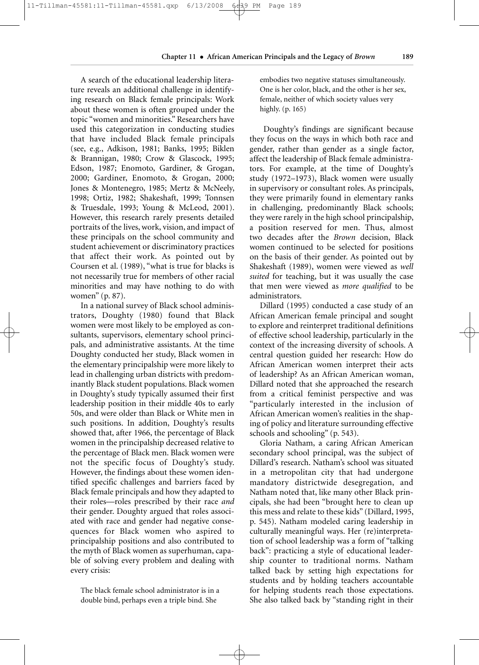A search of the educational leadership literature reveals an additional challenge in identifying research on Black female principals: Work about these women is often grouped under the topic "women and minorities." Researchers have used this categorization in conducting studies that have included Black female principals (see, e.g., Adkison, 1981; Banks, 1995; Biklen & Brannigan, 1980; Crow & Glascock, 1995; Edson, 1987; Enomoto, Gardiner, & Grogan, 2000; Gardiner, Enomoto, & Grogan, 2000; Jones & Montenegro, 1985; Mertz & McNeely, 1998; Ortiz, 1982; Shakeshaft, 1999; Tonnsen & Truesdale, 1993; Young & McLeod, 2001). However, this research rarely presents detailed portraits of the lives, work, vision, and impact of these principals on the school community and student achievement or discriminatory practices that affect their work. As pointed out by Coursen et al. (1989), "what is true for blacks is not necessarily true for members of other racial minorities and may have nothing to do with women" (p. 87).

In a national survey of Black school administrators, Doughty (1980) found that Black women were most likely to be employed as consultants, supervisors, elementary school principals, and administrative assistants. At the time Doughty conducted her study, Black women in the elementary principalship were more likely to lead in challenging urban districts with predominantly Black student populations. Black women in Doughty's study typically assumed their first leadership position in their middle 40s to early 50s, and were older than Black or White men in such positions. In addition, Doughty's results showed that, after 1966, the percentage of Black women in the principalship decreased relative to the percentage of Black men. Black women were not the specific focus of Doughty's study. However, the findings about these women identified specific challenges and barriers faced by Black female principals and how they adapted to their roles—roles prescribed by their race *and* their gender. Doughty argued that roles associated with race and gender had negative consequences for Black women who aspired to principalship positions and also contributed to the myth of Black women as superhuman, capable of solving every problem and dealing with every crisis:

The black female school administrator is in a double bind, perhaps even a triple bind. She

embodies two negative statuses simultaneously. One is her color, black, and the other is her sex, female, neither of which society values very highly. (p. 165)

Doughty's findings are significant because they focus on the ways in which both race and gender, rather than gender as a single factor, affect the leadership of Black female administrators. For example, at the time of Doughty's study (1972–1973), Black women were usually in supervisory or consultant roles. As principals, they were primarily found in elementary ranks in challenging, predominantly Black schools; they were rarely in the high school principalship, a position reserved for men. Thus, almost two decades after the *Brown* decision, Black women continued to be selected for positions on the basis of their gender. As pointed out by Shakeshaft (1989), women were viewed as *well suited* for teaching, but it was usually the case that men were viewed as *more qualified* to be administrators.

Dillard (1995) conducted a case study of an African American female principal and sought to explore and reinterpret traditional definitions of effective school leadership, particularly in the context of the increasing diversity of schools. A central question guided her research: How do African American women interpret their acts of leadership? As an African American woman, Dillard noted that she approached the research from a critical feminist perspective and was "particularly interested in the inclusion of African American women's realities in the shaping of policy and literature surrounding effective schools and schooling" (p. 543).

Gloria Natham, a caring African American secondary school principal, was the subject of Dillard's research. Natham's school was situated in a metropolitan city that had undergone mandatory districtwide desegregation, and Natham noted that, like many other Black principals, she had been "brought here to clean up this mess and relate to these kids" (Dillard, 1995, p. 545). Natham modeled caring leadership in culturally meaningful ways. Her (re)interpretation of school leadership was a form of "talking back": practicing a style of educational leadership counter to traditional norms. Natham talked back by setting high expectations for students and by holding teachers accountable for helping students reach those expectations. She also talked back by "standing right in their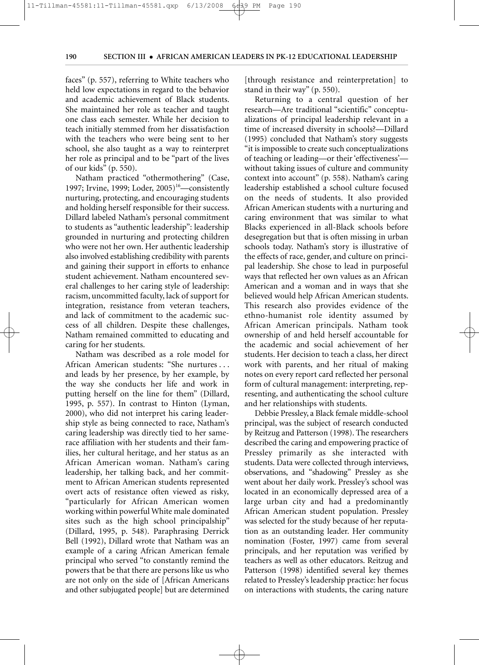PM

faces" (p. 557), referring to White teachers who held low expectations in regard to the behavior and academic achievement of Black students. She maintained her role as teacher and taught one class each semester. While her decision to teach initially stemmed from her dissatisfaction with the teachers who were being sent to her school, she also taught as a way to reinterpret her role as principal and to be "part of the lives of our kids" (p. 550).

 $\frac{1}{\sqrt{1-\frac{1}{\sqrt{1-\frac{1}{\sqrt{1-\frac{1}{\sqrt{1-\frac{1}{\sqrt{1-\frac{1}{\sqrt{1-\frac{1}{\sqrt{1-\frac{1}{\sqrt{1-\frac{1}{\sqrt{1-\frac{1}{\sqrt{1-\frac{1}{\sqrt{1-\frac{1}{\sqrt{1-\frac{1}{\sqrt{1-\frac{1}{\sqrt{1-\frac{1}{\sqrt{1-\frac{1}{\sqrt{1-\frac{1}{\sqrt{1-\frac{1}{\sqrt{1-\frac{1}{\sqrt{1-\frac{1}{\sqrt{1-\frac{1}{\sqrt{1-\frac{1}{\sqrt{1-\frac{1}{\sqrt{1-\frac{1}{\sqrt{1-\frac{1$ 

Natham practiced "othermothering" (Case, 1997; Irvine, 1999; Loder,  $2005$ <sup>16</sup>—consistently nurturing, protecting, and encouraging students and holding herself responsible for their success. Dillard labeled Natham's personal commitment to students as "authentic leadership": leadership grounded in nurturing and protecting children who were not her own. Her authentic leadership also involved establishing credibility with parents and gaining their support in efforts to enhance student achievement. Natham encountered several challenges to her caring style of leadership: racism, uncommitted faculty, lack of support for integration, resistance from veteran teachers, and lack of commitment to the academic success of all children. Despite these challenges, Natham remained committed to educating and caring for her students.

Natham was described as a role model for African American students: "She nurtures... and leads by her presence, by her example, by the way she conducts her life and work in putting herself on the line for them" (Dillard, 1995, p. 557). In contrast to Hinton (Lyman, 2000), who did not interpret his caring leadership style as being connected to race, Natham's caring leadership was directly tied to her samerace affiliation with her students and their families, her cultural heritage, and her status as an African American woman. Natham's caring leadership, her talking back, and her commitment to African American students represented overt acts of resistance often viewed as risky, "particularly for African American women working within powerful White male dominated sites such as the high school principalship" (Dillard, 1995, p. 548). Paraphrasing Derrick Bell (1992), Dillard wrote that Natham was an example of a caring African American female principal who served "to constantly remind the powers that be that there are persons like us who are not only on the side of [African Americans and other subjugated people] but are determined [through resistance and reinterpretation] to stand in their way" (p. 550).

Returning to a central question of her research—Are traditional "scientific" conceptualizations of principal leadership relevant in a time of increased diversity in schools?—Dillard (1995) concluded that Natham's story suggests "it is impossible to create such conceptualizations of teaching or leading—or their 'effectiveness' without taking issues of culture and community context into account" (p. 558). Natham's caring leadership established a school culture focused on the needs of students. It also provided African American students with a nurturing and caring environment that was similar to what Blacks experienced in all-Black schools before desegregation but that is often missing in urban schools today. Natham's story is illustrative of the effects of race, gender, and culture on principal leadership. She chose to lead in purposeful ways that reflected her own values as an African American and a woman and in ways that she believed would help African American students. This research also provides evidence of the ethno-humanist role identity assumed by African American principals. Natham took ownership of and held herself accountable for the academic and social achievement of her students. Her decision to teach a class, her direct work with parents, and her ritual of making notes on every report card reflected her personal form of cultural management: interpreting, representing, and authenticating the school culture and her relationships with students.

Debbie Pressley, a Black female middle-school principal, was the subject of research conducted by Reitzug and Patterson (1998). The researchers described the caring and empowering practice of Pressley primarily as she interacted with students. Data were collected through interviews, observations, and "shadowing" Pressley as she went about her daily work. Pressley's school was located in an economically depressed area of a large urban city and had a predominantly African American student population. Pressley was selected for the study because of her reputation as an outstanding leader. Her community nomination (Foster, 1997) came from several principals, and her reputation was verified by teachers as well as other educators. Reitzug and Patterson (1998) identified several key themes related to Pressley's leadership practice: her focus on interactions with students, the caring nature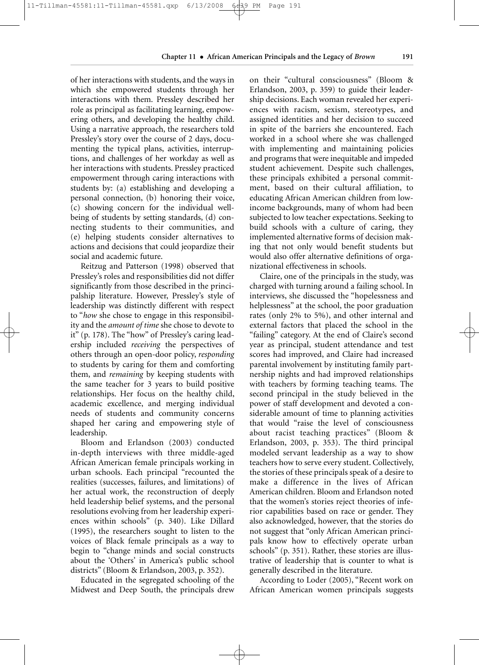of her interactions with students, and the ways in which she empowered students through her interactions with them. Pressley described her role as principal as facilitating learning, empowering others, and developing the healthy child. Using a narrative approach, the researchers told Pressley's story over the course of 2 days, documenting the typical plans, activities, interruptions, and challenges of her workday as well as her interactions with students. Pressley practiced empowerment through caring interactions with students by: (a) establishing and developing a personal connection, (b) honoring their voice, (c) showing concern for the individual wellbeing of students by setting standards, (d) connecting students to their communities, and (e) helping students consider alternatives to actions and decisions that could jeopardize their social and academic future.

Reitzug and Patterson (1998) observed that Pressley's roles and responsibilities did not differ significantly from those described in the principalship literature. However, Pressley's style of leadership was distinctly different with respect to "*how* she chose to engage in this responsibility and the *amount of time* she chose to devote to it" (p. 178). The "how" of Pressley's caring leadership included *receiving* the perspectives of others through an open-door policy, *responding* to students by caring for them and comforting them, and *remaining* by keeping students with the same teacher for 3 years to build positive relationships. Her focus on the healthy child, academic excellence, and merging individual needs of students and community concerns shaped her caring and empowering style of leadership.

Bloom and Erlandson (2003) conducted in-depth interviews with three middle-aged African American female principals working in urban schools. Each principal "recounted the realities (successes, failures, and limitations) of her actual work, the reconstruction of deeply held leadership belief systems, and the personal resolutions evolving from her leadership experiences within schools" (p. 340). Like Dillard (1995), the researchers sought to listen to the voices of Black female principals as a way to begin to "change minds and social constructs about the 'Others' in America's public school districts" (Bloom & Erlandson, 2003, p. 352).

Educated in the segregated schooling of the Midwest and Deep South, the principals drew on their "cultural consciousness" (Bloom & Erlandson, 2003, p. 359) to guide their leadership decisions. Each woman revealed her experiences with racism, sexism, stereotypes, and assigned identities and her decision to succeed in spite of the barriers she encountered. Each worked in a school where she was challenged with implementing and maintaining policies and programs that were inequitable and impeded student achievement. Despite such challenges, these principals exhibited a personal commitment, based on their cultural affiliation, to educating African American children from lowincome backgrounds, many of whom had been subjected to low teacher expectations. Seeking to build schools with a culture of caring, they implemented alternative forms of decision making that not only would benefit students but would also offer alternative definitions of organizational effectiveness in schools.

Claire, one of the principals in the study, was charged with turning around a failing school. In interviews, she discussed the "hopelessness and helplessness" at the school, the poor graduation rates (only 2% to 5%), and other internal and external factors that placed the school in the "failing" category. At the end of Claire's second year as principal, student attendance and test scores had improved, and Claire had increased parental involvement by instituting family partnership nights and had improved relationships with teachers by forming teaching teams. The second principal in the study believed in the power of staff development and devoted a considerable amount of time to planning activities that would "raise the level of consciousness about racist teaching practices" (Bloom & Erlandson, 2003, p. 353). The third principal modeled servant leadership as a way to show teachers how to serve every student. Collectively, the stories of these principals speak of a desire to make a difference in the lives of African American children. Bloom and Erlandson noted that the women's stories reject theories of inferior capabilities based on race or gender. They also acknowledged, however, that the stories do not suggest that "only African American principals know how to effectively operate urban schools" (p. 351). Rather, these stories are illustrative of leadership that is counter to what is generally described in the literature.

According to Loder (2005), "Recent work on African American women principals suggests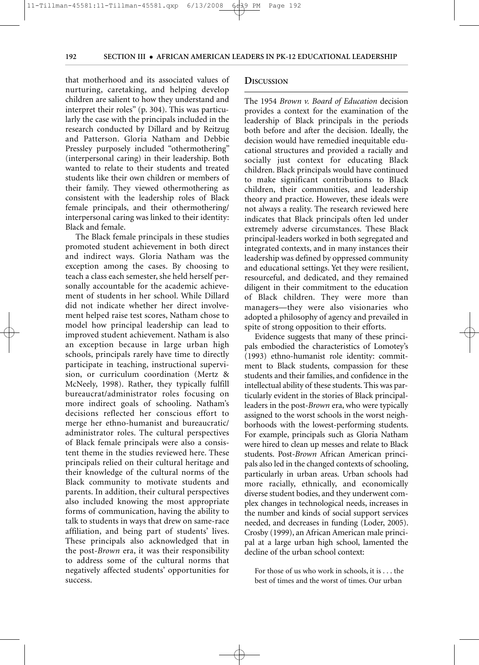#### PM Page 192  $\frac{1}{\sqrt{1-\frac{1}{\sqrt{1-\frac{1}{\sqrt{1-\frac{1}{\sqrt{1-\frac{1}{\sqrt{1-\frac{1}{\sqrt{1-\frac{1}{\sqrt{1-\frac{1}{\sqrt{1-\frac{1}{\sqrt{1-\frac{1}{\sqrt{1-\frac{1}{\sqrt{1-\frac{1}{\sqrt{1-\frac{1}{\sqrt{1-\frac{1}{\sqrt{1-\frac{1}{\sqrt{1-\frac{1}{\sqrt{1-\frac{1}{\sqrt{1-\frac{1}{\sqrt{1-\frac{1}{\sqrt{1-\frac{1}{\sqrt{1-\frac{1}{\sqrt{1-\frac{1}{\sqrt{1-\frac{1}{\sqrt{1-\frac{1}{\sqrt{1-\frac{1$

#### **192 SECTION III** • **AFRICAN AMERICAN LEADERS IN PK-12 EDUCATIONAL LEADERSHIP**

that motherhood and its associated values of nurturing, caretaking, and helping develop children are salient to how they understand and interpret their roles" (p. 304). This was particularly the case with the principals included in the research conducted by Dillard and by Reitzug and Patterson. Gloria Natham and Debbie Pressley purposely included "othermothering" (interpersonal caring) in their leadership. Both wanted to relate to their students and treated students like their own children or members of their family. They viewed othermothering as consistent with the leadership roles of Black female principals, and their othermothering/ interpersonal caring was linked to their identity: Black and female.

The Black female principals in these studies promoted student achievement in both direct and indirect ways. Gloria Natham was the exception among the cases. By choosing to teach a class each semester, she held herself personally accountable for the academic achievement of students in her school. While Dillard did not indicate whether her direct involvement helped raise test scores, Natham chose to model how principal leadership can lead to improved student achievement. Natham is also an exception because in large urban high schools, principals rarely have time to directly participate in teaching, instructional supervision, or curriculum coordination (Mertz & McNeely, 1998). Rather, they typically fulfill bureaucrat/administrator roles focusing on more indirect goals of schooling. Natham's decisions reflected her conscious effort to merge her ethno-humanist and bureaucratic/ administrator roles. The cultural perspectives of Black female principals were also a consistent theme in the studies reviewed here. These principals relied on their cultural heritage and their knowledge of the cultural norms of the Black community to motivate students and parents. In addition, their cultural perspectives also included knowing the most appropriate forms of communication, having the ability to talk to students in ways that drew on same-race affiliation, and being part of students' lives. These principals also acknowledged that in the post*-Brown* era, it was their responsibility to address some of the cultural norms that negatively affected students' opportunities for success.

#### **DISCUSSION**

The 1954 *Brown v. Board of Education* decision provides a context for the examination of the leadership of Black principals in the periods both before and after the decision. Ideally, the decision would have remedied inequitable educational structures and provided a racially and socially just context for educating Black children. Black principals would have continued to make significant contributions to Black children, their communities, and leadership theory and practice. However, these ideals were not always a reality. The research reviewed here indicates that Black principals often led under extremely adverse circumstances. These Black principal-leaders worked in both segregated and integrated contexts, and in many instances their leadership was defined by oppressed community and educational settings. Yet they were resilient, resourceful, and dedicated, and they remained diligent in their commitment to the education of Black children. They were more than managers—they were also visionaries who adopted a philosophy of agency and prevailed in spite of strong opposition to their efforts.

Evidence suggests that many of these principals embodied the characteristics of Lomotey's (1993) ethno-humanist role identity: commitment to Black students, compassion for these students and their families, and confidence in the intellectual ability of these students. This was particularly evident in the stories of Black principalleaders in the post-*Brown* era, who were typically assigned to the worst schools in the worst neighborhoods with the lowest-performing students. For example, principals such as Gloria Natham were hired to clean up messes and relate to Black students. Post*-Brown* African American principals also led in the changed contexts of schooling, particularly in urban areas. Urban schools had more racially, ethnically, and economically diverse student bodies, and they underwent complex changes in technological needs, increases in the number and kinds of social support services needed, and decreases in funding (Loder, 2005). Crosby (1999), an African American male principal at a large urban high school, lamented the decline of the urban school context:

For those of us who work in schools, it is . . . the best of times and the worst of times. Our urban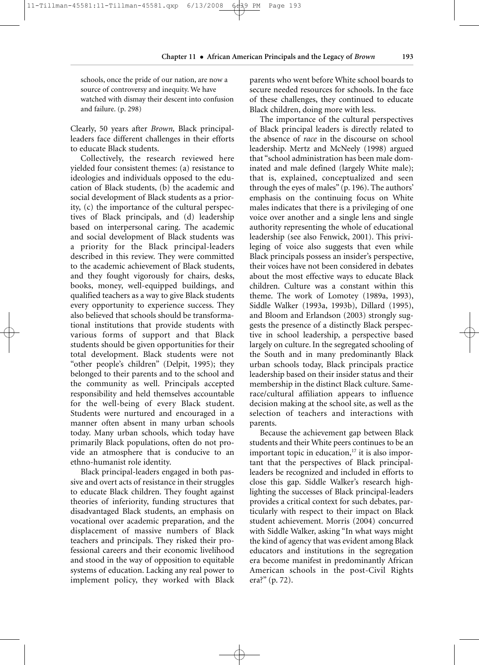schools, once the pride of our nation, are now a source of controversy and inequity. We have watched with dismay their descent into confusion and failure. (p. 298)

Clearly, 50 years after *Brown,* Black principalleaders face different challenges in their efforts to educate Black students.

Collectively, the research reviewed here yielded four consistent themes: (a) resistance to ideologies and individuals opposed to the education of Black students, (b) the academic and social development of Black students as a priority, (c) the importance of the cultural perspectives of Black principals, and (d) leadership based on interpersonal caring. The academic and social development of Black students was a priority for the Black principal-leaders described in this review. They were committed to the academic achievement of Black students, and they fought vigorously for chairs, desks, books, money, well-equipped buildings, and qualified teachers as a way to give Black students every opportunity to experience success. They also believed that schools should be transformational institutions that provide students with various forms of support and that Black students should be given opportunities for their total development. Black students were not "other people's children" (Delpit, 1995); they belonged to their parents and to the school and the community as well. Principals accepted responsibility and held themselves accountable for the well-being of every Black student. Students were nurtured and encouraged in a manner often absent in many urban schools today. Many urban schools, which today have primarily Black populations, often do not provide an atmosphere that is conducive to an ethno-humanist role identity.

Black principal-leaders engaged in both passive and overt acts of resistance in their struggles to educate Black children. They fought against theories of inferiority, funding structures that disadvantaged Black students, an emphasis on vocational over academic preparation, and the displacement of massive numbers of Black teachers and principals. They risked their professional careers and their economic livelihood and stood in the way of opposition to equitable systems of education. Lacking any real power to implement policy, they worked with Black parents who went before White school boards to secure needed resources for schools. In the face of these challenges, they continued to educate Black children, doing more with less.

The importance of the cultural perspectives of Black principal leaders is directly related to the absence of *race* in the discourse on school leadership. Mertz and McNeely (1998) argued that "school administration has been male dominated and male defined (largely White male); that is, explained, conceptualized and seen through the eyes of males" (p. 196). The authors' emphasis on the continuing focus on White males indicates that there is a privileging of one voice over another and a single lens and single authority representing the whole of educational leadership (see also Fenwick, 2001). This privileging of voice also suggests that even while Black principals possess an insider's perspective, their voices have not been considered in debates about the most effective ways to educate Black children. Culture was a constant within this theme. The work of Lomotey (1989a, 1993), Siddle Walker (1993a, 1993b), Dillard (1995), and Bloom and Erlandson (2003) strongly suggests the presence of a distinctly Black perspective in school leadership, a perspective based largely on culture. In the segregated schooling of the South and in many predominantly Black urban schools today, Black principals practice leadership based on their insider status and their membership in the distinct Black culture. Samerace/cultural affiliation appears to influence decision making at the school site, as well as the selection of teachers and interactions with parents.

Because the achievement gap between Black students and their White peers continues to be an important topic in education, $17$  it is also important that the perspectives of Black principalleaders be recognized and included in efforts to close this gap. Siddle Walker's research highlighting the successes of Black principal-leaders provides a critical context for such debates, particularly with respect to their impact on Black student achievement. Morris (2004) concurred with Siddle Walker, asking "In what ways might the kind of agency that was evident among Black educators and institutions in the segregation era become manifest in predominantly African American schools in the post-Civil Rights era?" (p. 72).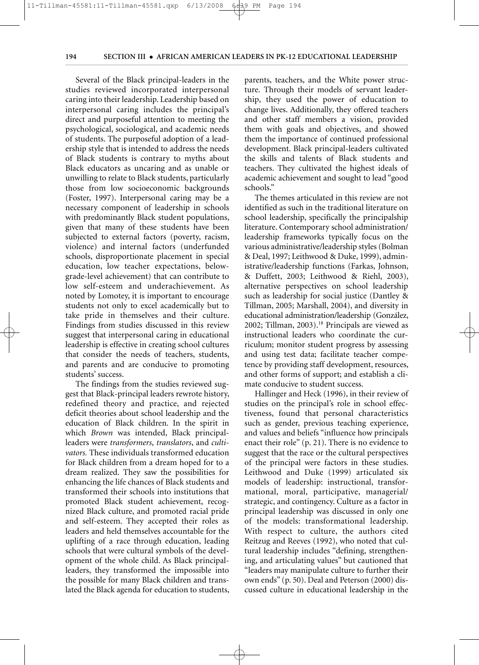#### $11-Ti11man-45581:11-Ti11man-45581.$ PM Page 194

**194 SECTION III** • **AFRICAN AMERICAN LEADERS IN PK-12 EDUCATIONAL LEADERSHIP**

Several of the Black principal-leaders in the studies reviewed incorporated interpersonal caring into their leadership. Leadership based on interpersonal caring includes the principal's direct and purposeful attention to meeting the psychological, sociological, and academic needs of students. The purposeful adoption of a leadership style that is intended to address the needs of Black students is contrary to myths about Black educators as uncaring and as unable or unwilling to relate to Black students, particularly those from low socioeconomic backgrounds (Foster, 1997). Interpersonal caring may be a necessary component of leadership in schools with predominantly Black student populations, given that many of these students have been subjected to external factors (poverty, racism, violence) and internal factors (underfunded schools, disproportionate placement in special education, low teacher expectations, belowgrade-level achievement) that can contribute to low self-esteem and underachievement. As noted by Lomotey, it is important to encourage students not only to excel academically but to take pride in themselves and their culture. Findings from studies discussed in this review suggest that interpersonal caring in educational leadership is effective in creating school cultures that consider the needs of teachers, students, and parents and are conducive to promoting students' success.

The findings from the studies reviewed suggest that Black-principal leaders rewrote history, redefined theory and practice, and rejected deficit theories about school leadership and the education of Black children. In the spirit in which *Brown* was intended, Black principalleaders were *transformers*, *translators*, and *cultivators.* These individuals transformed education for Black children from a dream hoped for to a dream realized. They saw the possibilities for enhancing the life chances of Black students and transformed their schools into institutions that promoted Black student achievement, recognized Black culture, and promoted racial pride and self-esteem. They accepted their roles as leaders and held themselves accountable for the uplifting of a race through education, leading schools that were cultural symbols of the development of the whole child. As Black principalleaders, they transformed the impossible into the possible for many Black children and translated the Black agenda for education to students, parents, teachers, and the White power structure. Through their models of servant leadership, they used the power of education to change lives. Additionally, they offered teachers and other staff members a vision, provided them with goals and objectives, and showed them the importance of continued professional development. Black principal-leaders cultivated the skills and talents of Black students and teachers. They cultivated the highest ideals of academic achievement and sought to lead "good schools."

The themes articulated in this review are not identified as such in the traditional literature on school leadership, specifically the principalship literature. Contemporary school administration/ leadership frameworks typically focus on the various administrative/leadership styles (Bolman & Deal, 1997; Leithwood & Duke, 1999), administrative/leadership functions (Farkas, Johnson, & Duffett, 2003; Leithwood & Riehl, 2003), alternative perspectives on school leadership such as leadership for social justice (Dantley & Tillman, 2005; Marshall, 2004), and diversity in educational administration/leadership (González, 2002; Tillman, 2003).<sup>18</sup> Principals are viewed as instructional leaders who coordinate the curriculum; monitor student progress by assessing and using test data; facilitate teacher competence by providing staff development, resources, and other forms of support; and establish a climate conducive to student success.

Hallinger and Heck (1996), in their review of studies on the principal's role in school effectiveness, found that personal characteristics such as gender, previous teaching experience, and values and beliefs "influence how principals enact their role" (p. 21). There is no evidence to suggest that the race or the cultural perspectives of the principal were factors in these studies. Leithwood and Duke (1999) articulated six models of leadership: instructional, transformational, moral, participative, managerial/ strategic, and contingency. Culture as a factor in principal leadership was discussed in only one of the models: transformational leadership. With respect to culture, the authors cited Reitzug and Reeves (1992), who noted that cultural leadership includes "defining, strengthening, and articulating values" but cautioned that "leaders may manipulate culture to further their own ends" (p. 50). Deal and Peterson (2000) discussed culture in educational leadership in the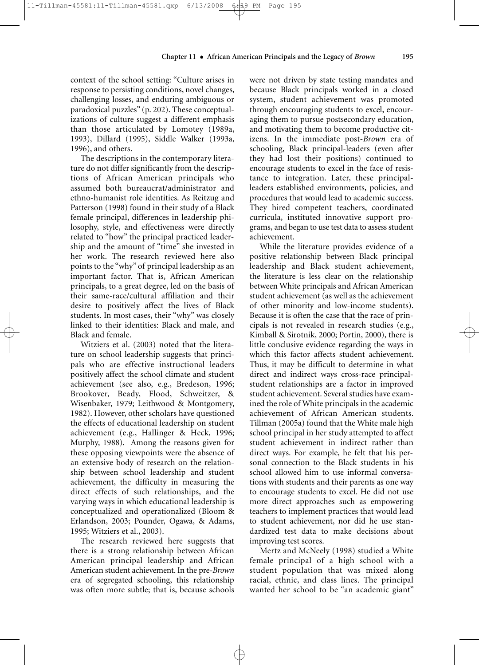context of the school setting: "Culture arises in response to persisting conditions, novel changes, challenging losses, and enduring ambiguous or paradoxical puzzles" (p. 202). These conceptualizations of culture suggest a different emphasis than those articulated by Lomotey (1989a, 1993), Dillard (1995), Siddle Walker (1993a, 1996), and others.

The descriptions in the contemporary literature do not differ significantly from the descriptions of African American principals who assumed both bureaucrat/administrator and ethno-humanist role identities. As Reitzug and Patterson (1998) found in their study of a Black female principal, differences in leadership philosophy, style, and effectiveness were directly related to "how" the principal practiced leadership and the amount of "time" she invested in her work. The research reviewed here also points to the "why" of principal leadership as an important factor. That is, African American principals, to a great degree, led on the basis of their same-race/cultural affiliation and their desire to positively affect the lives of Black students. In most cases, their "why" was closely linked to their identities: Black and male, and Black and female.

Witziers et al. (2003) noted that the literature on school leadership suggests that principals who are effective instructional leaders positively affect the school climate and student achievement (see also, e.g., Bredeson, 1996; Brookover, Beady, Flood, Schweitzer, & Wisenbaker, 1979; Leithwood & Montgomery, 1982). However, other scholars have questioned the effects of educational leadership on student achievement (e.g., Hallinger & Heck, 1996; Murphy, 1988). Among the reasons given for these opposing viewpoints were the absence of an extensive body of research on the relationship between school leadership and student achievement, the difficulty in measuring the direct effects of such relationships, and the varying ways in which educational leadership is conceptualized and operationalized (Bloom & Erlandson, 2003; Pounder, Ogawa, & Adams, 1995; Witziers et al., 2003).

The research reviewed here suggests that there is a strong relationship between African American principal leadership and African American student achievement. In the pre-*Brown* era of segregated schooling, this relationship was often more subtle; that is, because schools were not driven by state testing mandates and because Black principals worked in a closed system, student achievement was promoted through encouraging students to excel, encouraging them to pursue postsecondary education, and motivating them to become productive citizens. In the immediate post*-Brown* era of schooling, Black principal-leaders (even after they had lost their positions) continued to encourage students to excel in the face of resistance to integration. Later, these principalleaders established environments, policies, and procedures that would lead to academic success. They hired competent teachers, coordinated curricula, instituted innovative support programs, and began to use test data to assess student achievement.

While the literature provides evidence of a positive relationship between Black principal leadership and Black student achievement, the literature is less clear on the relationship between White principals and African American student achievement (as well as the achievement of other minority and low-income students). Because it is often the case that the race of principals is not revealed in research studies (e.g., Kimball & Sirotnik, 2000; Portin, 2000), there is little conclusive evidence regarding the ways in which this factor affects student achievement. Thus, it may be difficult to determine in what direct and indirect ways cross-race principalstudent relationships are a factor in improved student achievement. Several studies have examined the role of White principals in the academic achievement of African American students. Tillman (2005a) found that the White male high school principal in her study attempted to affect student achievement in indirect rather than direct ways. For example, he felt that his personal connection to the Black students in his school allowed him to use informal conversations with students and their parents as one way to encourage students to excel. He did not use more direct approaches such as empowering teachers to implement practices that would lead to student achievement, nor did he use standardized test data to make decisions about improving test scores.

Mertz and McNeely (1998) studied a White female principal of a high school with a student population that was mixed along racial, ethnic, and class lines. The principal wanted her school to be "an academic giant"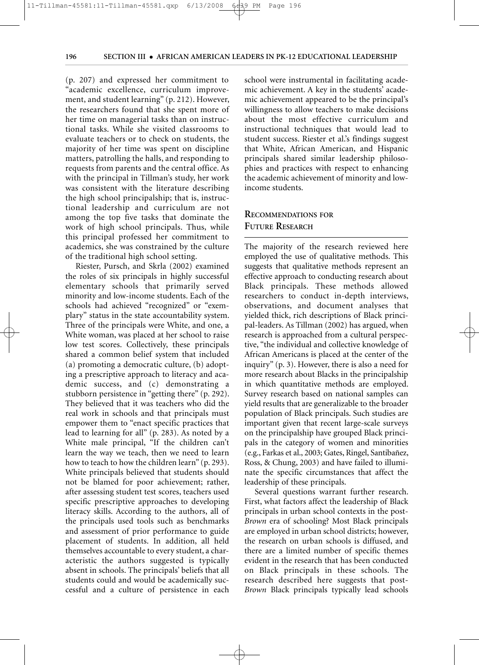(p. 207) and expressed her commitment to "academic excellence, curriculum improvement, and student learning" (p. 212). However, the researchers found that she spent more of her time on managerial tasks than on instructional tasks. While she visited classrooms to evaluate teachers or to check on students, the majority of her time was spent on discipline matters, patrolling the halls, and responding to requests from parents and the central office. As with the principal in Tillman's study, her work was consistent with the literature describing the high school principalship; that is, instructional leadership and curriculum are not among the top five tasks that dominate the work of high school principals. Thus, while this principal professed her commitment to academics, she was constrained by the culture of the traditional high school setting.

Riester, Pursch, and Skrla (2002) examined the roles of six principals in highly successful elementary schools that primarily served minority and low-income students. Each of the schools had achieved "recognized" or "exemplary" status in the state accountability system. Three of the principals were White, and one, a White woman, was placed at her school to raise low test scores. Collectively, these principals shared a common belief system that included (a) promoting a democratic culture, (b) adopting a prescriptive approach to literacy and academic success, and (c) demonstrating a stubborn persistence in "getting there" (p. 292). They believed that it was teachers who did the real work in schools and that principals must empower them to "enact specific practices that lead to learning for all" (p. 283). As noted by a White male principal, "If the children can't learn the way we teach, then we need to learn how to teach to how the children learn" (p. 293). White principals believed that students should not be blamed for poor achievement; rather, after assessing student test scores, teachers used specific prescriptive approaches to developing literacy skills. According to the authors, all of the principals used tools such as benchmarks and assessment of prior performance to guide placement of students. In addition, all held themselves accountable to every student, a characteristic the authors suggested is typically absent in schools. The principals' beliefs that all students could and would be academically successful and a culture of persistence in each school were instrumental in facilitating academic achievement. A key in the students' academic achievement appeared to be the principal's willingness to allow teachers to make decisions about the most effective curriculum and instructional techniques that would lead to student success. Riester et al.'s findings suggest that White, African American, and Hispanic principals shared similar leadership philosophies and practices with respect to enhancing the academic achievement of minority and lowincome students.

### **RECOMMENDATIONS FOR FUTURE RESEARCH**

The majority of the research reviewed here employed the use of qualitative methods. This suggests that qualitative methods represent an effective approach to conducting research about Black principals. These methods allowed researchers to conduct in-depth interviews, observations, and document analyses that yielded thick, rich descriptions of Black principal-leaders. As Tillman (2002) has argued, when research is approached from a cultural perspective, "the individual and collective knowledge of African Americans is placed at the center of the inquiry" (p. 3). However, there is also a need for more research about Blacks in the principalship in which quantitative methods are employed. Survey research based on national samples can yield results that are generalizable to the broader population of Black principals. Such studies are important given that recent large-scale surveys on the principalship have grouped Black principals in the category of women and minorities (e.g., Farkas et al., 2003; Gates, Ringel, Santibañez, Ross, & Chung, 2003) and have failed to illuminate the specific circumstances that affect the leadership of these principals.

Several questions warrant further research. First, what factors affect the leadership of Black principals in urban school contexts in the post*-Brown* era of schooling? Most Black principals are employed in urban school districts; however, the research on urban schools is diffused, and there are a limited number of specific themes evident in the research that has been conducted on Black principals in these schools. The research described here suggests that post*-Brown* Black principals typically lead schools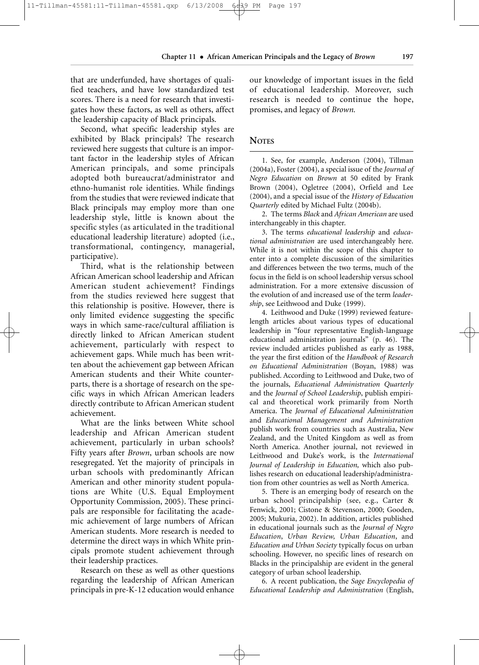that are underfunded, have shortages of qualified teachers, and have low standardized test scores. There is a need for research that investigates how these factors, as well as others, affect the leadership capacity of Black principals.

Second, what specific leadership styles are exhibited by Black principals? The research reviewed here suggests that culture is an important factor in the leadership styles of African American principals, and some principals adopted both bureaucrat/administrator and ethno-humanist role identities. While findings from the studies that were reviewed indicate that Black principals may employ more than one leadership style, little is known about the specific styles (as articulated in the traditional educational leadership literature) adopted (i.e., transformational, contingency, managerial, participative).

Third, what is the relationship between African American school leadership and African American student achievement? Findings from the studies reviewed here suggest that this relationship is positive. However, there is only limited evidence suggesting the specific ways in which same-race/cultural affiliation is directly linked to African American student achievement, particularly with respect to achievement gaps. While much has been written about the achievement gap between African American students and their White counterparts, there is a shortage of research on the specific ways in which African American leaders directly contribute to African American student achievement.

What are the links between White school leadership and African American student achievement, particularly in urban schools? Fifty years after *Brown*, urban schools are now resegregated. Yet the majority of principals in urban schools with predominantly African American and other minority student populations are White (U.S. Equal Employment Opportunity Commission, 2005). These principals are responsible for facilitating the academic achievement of large numbers of African American students. More research is needed to determine the direct ways in which White principals promote student achievement through their leadership practices.

Research on these as well as other questions regarding the leadership of African American principals in pre-K-12 education would enhance our knowledge of important issues in the field of educational leadership. Moreover, such research is needed to continue the hope, promises, and legacy of *Brown.*

#### **NOTES**

1. See, for example, Anderson (2004), Tillman (2004a), Foster (2004), a special issue of the *Journal of Negro Education* on *Brown* at 50 edited by Frank Brown (2004), Ogletree (2004), Orfield and Lee (2004), and a special issue of the *History of Education Quarterly* edited by Michael Fultz (2004b).

2. The terms *Black* and *African American* are used interchangeably in this chapter.

3. The terms *educational leadership* and *educational administration* are used interchangeably here. While it is not within the scope of this chapter to enter into a complete discussion of the similarities and differences between the two terms, much of the focus in the field is on school leadership versus school administration. For a more extensive discussion of the evolution of and increased use of the term *leadership*, see Leithwood and Duke (1999).

4. Leithwood and Duke (1999) reviewed featurelength articles about various types of educational leadership in "four representative English-language educational administration journals" (p. 46). The review included articles published as early as 1988, the year the first edition of the *Handbook of Research on Educational Administration* (Boyan, 1988) was published. According to Leithwood and Duke, two of the journals, *Educational Administration Quarterly* and the *Journal of School Leadership*, publish empirical and theoretical work primarily from North America. The *Journal of Educational Administration* and *Educational Management and Administration* publish work from countries such as Australia, New Zealand, and the United Kingdom as well as from North America. Another journal, not reviewed in Leithwood and Duke's work, is the *International Journal of Leadership in Education,* which also publishes research on educational leadership/administration from other countries as well as North America.

5. There is an emerging body of research on the urban school principalship (see, e.g., Carter & Fenwick, 2001; Cistone & Stevenson, 2000; Gooden, 2005; Mukuria, 2002). In addition, articles published in educational journals such as the *Journal of Negro Education*, *Urban Review, Urban Education*, and *Education and Urban Society* typically focus on urban schooling. However, no specific lines of research on Blacks in the principalship are evident in the general category of urban school leadership.

6. A recent publication, the *Sage Encyclopedia of Educational Leadership and Administration* (English,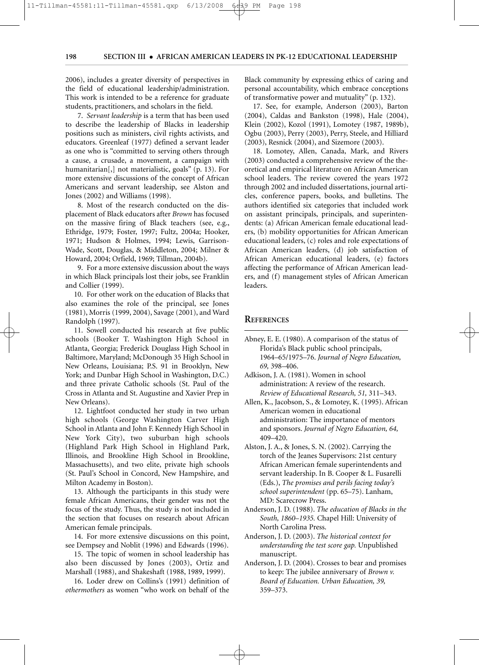PM

2006), includes a greater diversity of perspectives in the field of educational leadership/administration. This work is intended to be a reference for graduate students, practitioners, and scholars in the field.

11-Tillman-45581:11-Tillman-45581.qxp 6/13/2008 6:39 PM Page 198

7. *Servant leadership* is a term that has been used to describe the leadership of Blacks in leadership positions such as ministers, civil rights activists, and educators. Greenleaf (1977) defined a servant leader as one who is "committed to serving others through a cause, a crusade, a movement, a campaign with humanitarian[,] not materialistic, goals" (p. 13). For more extensive discussions of the concept of African Americans and servant leadership, see Alston and Jones (2002) and Williams (1998).

8. Most of the research conducted on the displacement of Black educators after *Brown* has focused on the massive firing of Black teachers (see, e.g., Ethridge, 1979; Foster, 1997; Fultz, 2004a; Hooker, 1971; Hudson & Holmes, 1994; Lewis, Garrison-Wade, Scott, Douglas, & Middleton, 2004; Milner & Howard, 2004; Orfield, 1969; Tillman, 2004b).

9. For a more extensive discussion about the ways in which Black principals lost their jobs, see Franklin and Collier (1999).

10. For other work on the education of Blacks that also examines the role of the principal, see Jones (1981), Morris (1999, 2004), Savage (2001), and Ward Randolph (1997).

11. Sowell conducted his research at five public schools (Booker T. Washington High School in Atlanta, Georgia; Frederick Douglass High School in Baltimore, Maryland; McDonough 35 High School in New Orleans, Louisiana; P.S. 91 in Brooklyn, New York; and Dunbar High School in Washington, D.C.) and three private Catholic schools (St. Paul of the Cross in Atlanta and St. Augustine and Xavier Prep in New Orleans).

12. Lightfoot conducted her study in two urban high schools (George Washington Carver High School in Atlanta and John F. Kennedy High School in New York City), two suburban high schools (Highland Park High School in Highland Park, Illinois, and Brookline High School in Brookline, Massachusetts), and two elite, private high schools (St. Paul's School in Concord, New Hampshire, and Milton Academy in Boston).

13. Although the participants in this study were female African Americans, their gender was not the focus of the study. Thus, the study is not included in the section that focuses on research about African American female principals.

14. For more extensive discussions on this point, see Dempsey and Noblit (1996) and Edwards (1996).

15. The topic of women in school leadership has also been discussed by Jones (2003), Ortiz and Marshall (1988), and Shakeshaft (1988, 1989, 1999).

16. Loder drew on Collins's (1991) definition of *othermothers* as women "who work on behalf of the Black community by expressing ethics of caring and personal accountability, which embrace conceptions of transformative power and mutuality" (p. 132).

17. See, for example, Anderson (2003), Barton (2004), Caldas and Bankston (1998), Hale (2004), Klein (2002), Kozol (1991), Lomotey (1987, 1989b), Ogbu (2003), Perry (2003), Perry, Steele, and Hilliard (2003), Resnick (2004), and Sizemore (2003).

18. Lomotey, Allen, Canada, Mark, and Rivers (2003) conducted a comprehensive review of the theoretical and empirical literature on African American school leaders. The review covered the years 1972 through 2002 and included dissertations, journal articles, conference papers, books, and bulletins. The authors identified six categories that included work on assistant principals, principals, and superintendents: (a) African American female educational leaders, (b) mobility opportunities for African American educational leaders, (c) roles and role expectations of African American leaders, (d) job satisfaction of African American educational leaders, (e) factors affecting the performance of African American leaders, and (f) management styles of African American leaders.

#### **REFERENCES**

- Abney, E. E. (1980). A comparison of the status of Florida's Black public school principals, 1964–65/1975–76. *Journal of Negro Education, 69,* 398–406.
- Adkison, J. A. (1981). Women in school administration: A review of the research. *Review of Educational Research, 51,* 311–343.
- Allen, K., Jacobson, S., & Lomotey, K. (1995). African American women in educational administration: The importance of mentors and sponsors. *Journal of Negro Education, 64,* 409–420.
- Alston, J. A., & Jones, S. N. (2002). Carrying the torch of the Jeanes Supervisors: 21st century African American female superintendents and servant leadership. In B. Cooper & L. Fusarelli (Eds.), *The promises and perils facing today's school superintendent* (pp. 65–75). Lanham, MD: Scarecrow Press.
- Anderson, J. D. (1988). *The education of Blacks in the South, 1860–1935.* Chapel Hill: University of North Carolina Press.
- Anderson, J. D. (2003). *The historical context for understanding the test score gap.* Unpublished manuscript.
- Anderson, J. D. (2004). Crosses to bear and promises to keep: The jubilee anniversary of *Brown v. Board of Education. Urban Education, 39,*  359–373.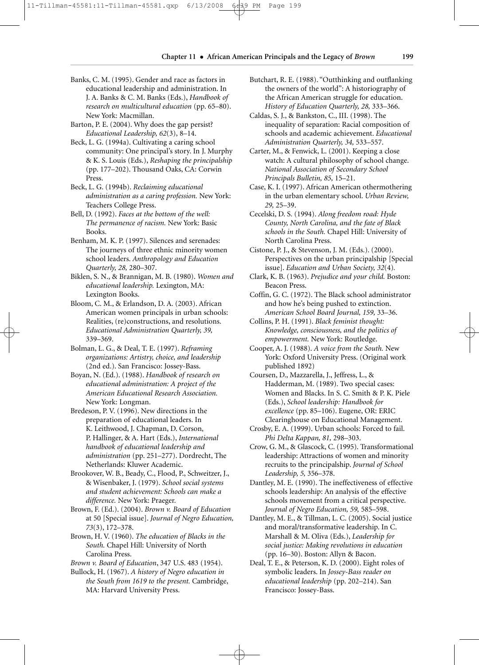Banks, C. M. (1995). Gender and race as factors in educational leadership and administration. In J. A. Banks & C. M. Banks (Eds.), *Handbook of research on multicultural education* (pp. 65–80). New York: Macmillan.

Barton, P. E. (2004). Why does the gap persist? *Educational Leadership, 62*(3), 8–14.

Beck, L. G. (1994a). Cultivating a caring school community: One principal's story. In J. Murphy & K. S. Louis (Eds.), *Reshaping the principalship* (pp. 177–202). Thousand Oaks, CA: Corwin Press.

Beck, L. G. (1994b). *Reclaiming educational administration as a caring profession.* New York: Teachers College Press.

Bell, D. (1992). *Faces at the bottom of the well: The permanence of racism.* New York: Basic Books.

Benham, M. K. P. (1997). Silences and serenades: The journeys of three ethnic minority women school leaders. *Anthropology and Education Quarterly, 28,* 280–307.

Biklen, S. N., & Brannigan, M. B. (1980). *Women and educational leadership.* Lexington, MA: Lexington Books.

Bloom, C. M., & Erlandson, D. A. (2003). African American women principals in urban schools: Realities, (re)constructions, and resolutions. *Educational Administration Quarterly, 39,*  339–369.

Bolman, L. G., & Deal, T. E. (1997). *Reframing organizations: Artistry, choice, and leadership* (2nd ed.). San Francisco: Jossey-Bass.

Boyan, N. (Ed.). (1988). *Handbook of research on educational administration: A project of the American Educational Research Association.*  New York: Longman.

Bredeson, P. V. (1996). New directions in the preparation of educational leaders. In K. Leithwood, J. Chapman, D. Corson, P. Hallinger, & A. Hart (Eds.), *International handbook of educational leadership and administration* (pp. 251–277). Dordrecht, The Netherlands: Kluwer Academic.

Brookover, W. B., Beady, C., Flood, P., Schweitzer, J., & Wisenbaker, J. (1979). *School social systems and student achievement: Schools can make a difference.* New York: Praeger.

Brown, F. (Ed.). (2004). *Brown v. Board of Education* at 50 [Special issue]. *Journal of Negro Education, 73*(3), 172–378.

Brown, H. V. (1960). *The education of Blacks in the South.* Chapel Hill: University of North Carolina Press.

*Brown v. Board of Education*, 347 U.S. 483 (1954).

Bullock, H. (1967). *A history of Negro education in the South from 1619 to the present.* Cambridge, MA: Harvard University Press.

- Butchart, R. E. (1988). "Outthinking and outflanking the owners of the world": A historiography of the African American struggle for education. *History of Education Quarterly, 28,* 333–366.
- Caldas, S. J., & Bankston, C., III. (1998). The inequality of separation: Racial composition of schools and academic achievement. *Educational Administration Quarterly, 34,* 533–557.

Carter, M., & Fenwick, L. (2001). Keeping a close watch: A cultural philosophy of school change. *National Association of Secondary School Principals Bulletin, 85,* 15–21.

Case, K. I. (1997). African American othermothering in the urban elementary school. *Urban Review, 29,* 25–39.

Cecelski, D. S. (1994). *Along freedom road: Hyde County, North Carolina, and the fate of Black schools in the South.* Chapel Hill: University of North Carolina Press.

Cistone, P. J., & Stevenson, J. M. (Eds.). (2000). Perspectives on the urban principalship [Special issue]. *Education and Urban Society, 32*(4)*.*

Clark, K. B. (1963). *Prejudice and your child.* Boston: Beacon Press.

Coffin, G. C. (1972). The Black school administrator and how he's being pushed to extinction. *American School Board Journal, 159,* 33–36.

Collins, P. H. (1991). *Black feminist thought: Knowledge, consciousness, and the politics of empowerment.* New York: Routledge.

Cooper, A. J. (1988). *A voice from the South.* New York: Oxford University Press. (Original work published 1892)

Coursen, D., Mazzarella, J., Jeffress, L., & Hadderman, M. (1989). Two special cases: Women and Blacks. In S. C. Smith & P. K. Piele (Eds.), *School leadership: Handbook for excellence* (pp. 85–106). Eugene, OR: ERIC Clearinghouse on Educational Management.

Crosby, E. A. (1999). Urban schools: Forced to fail. *Phi Delta Kappan, 81,* 298–303.

Crow, G. M., & Glascock, C. (1995). Transformational leadership: Attractions of women and minority recruits to the principalship. *Journal of School Leadership, 5,* 356–378.

Dantley, M. E. (1990). The ineffectiveness of effective schools leadership: An analysis of the effective schools movement from a critical perspective. *Journal of Negro Education, 59,* 585–598.

Dantley, M. E., & Tillman, L. C. (2005). Social justice and moral/transformative leadership. In C. Marshall & M. Oliva (Eds.), *Leadership for social justice: Making revolutions in education* (pp. 16–30). Boston: Allyn & Bacon.

Deal, T. E., & Peterson, K. D. (2000). Eight roles of symbolic leaders. In *Jossey-Bass reader on educational leadership* (pp. 202–214). San Francisco: Jossey-Bass.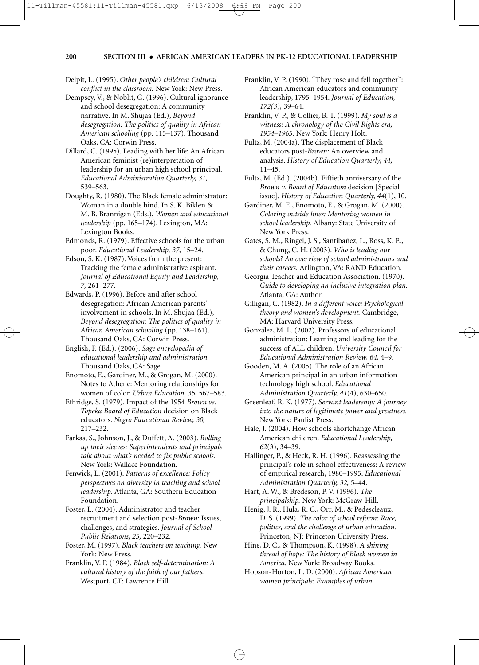6/13/2008

PM

Delpit, L. (1995). *Other people's children: Cultural conflict in the classroom.* New York: New Press.

11-Tillman-45581:11-Tillman-45581.qxp 6/13/2008 6:39 PM Page 200

Dempsey, V., & Noblit, G. (1996). Cultural ignorance and school desegregation: A community narrative. In M. Shujaa (Ed.), *Beyond desegregation: The politics of quality in African American schooling* (pp. 115–137). Thousand Oaks, CA: Corwin Press.

Dillard, C. (1995). Leading with her life: An African American feminist (re)interpretation of leadership for an urban high school principal. *Educational Administration Quarterly, 31,*  539–563.

Doughty, R. (1980). The Black female administrator: Woman in a double bind. In S. K. Biklen & M. B. Brannigan (Eds.), *Women and educational leadership* (pp. 165–174). Lexington, MA: Lexington Books.

Edmonds, R. (1979). Effective schools for the urban poor. *Educational Leadership, 37,* 15–24.

Edson, S. K. (1987). Voices from the present: Tracking the female administrative aspirant. *Journal of Educational Equity and Leadership, 7,* 261–277.

Edwards, P. (1996). Before and after school desegregation: African American parents' involvement in schools. In M. Shujaa (Ed.), *Beyond desegregation: The politics of quality in African American schooling* (pp. 138–161). Thousand Oaks, CA: Corwin Press.

English, F. (Ed.). (2006). *Sage encyclopedia of educational leadership and administration.* Thousand Oaks, CA: Sage.

Enomoto, E., Gardiner, M., & Grogan, M. (2000). Notes to Athene: Mentoring relationships for women of color. *Urban Education, 35,* 567–583.

Ethridge, S. (1979). Impact of the 1954 *Brown vs. Topeka Board of Education* decision on Black educators. *Negro Educational Review, 30,*  217–232.

Farkas, S., Johnson, J., & Duffett, A. (2003). *Rolling up their sleeves: Superintendents and principals talk about what's needed to fix public schools.* New York: Wallace Foundation.

Fenwick, L. (2001). *Patterns of excellence: Policy perspectives on diversity in teaching and school leadership.* Atlanta, GA: Southern Education Foundation.

Foster, L. (2004). Administrator and teacher recruitment and selection post*-Brown:* Issues, challenges, and strategies. *Journal of School Public Relations, 25,* 220–232.

Foster, M. (1997). *Black teachers on teaching.* New York: New Press.

Franklin, V. P. (1984). *Black self-determination: A cultural history of the faith of our fathers.* Westport, CT: Lawrence Hill.

Franklin, V. P. (1990). "They rose and fell together": African American educators and community leadership, 1795–1954. *Journal of Education, 172(3),* 39–64.

Franklin, V. P., & Collier, B. T. (1999). *My soul is a witness: A chronology of the Civil Rights era, 1954–1965.* New York: Henry Holt.

Fultz, M. (2004a). The displacement of Black educators post-*Brown:* An overview and analysis. *History of Education Quarterly, 44,*  11–45.

Fultz, M. (Ed.). (2004b). Fiftieth anniversary of the *Brown v. Board of Education* decision [Special issue]. *History of Education Quarterly, 44*(1), 10.

Gardiner, M. E., Enomoto, E., & Grogan, M. (2000). *Coloring outside lines: Mentoring women in school leadership.* Albany: State University of New York Press.

Gates, S. M., Ringel, J. S., Santibañez, L., Ross, K. E., & Chung, C. H. (2003). *Who is leading our schools? An overview of school administrators and their careers.* Arlington, VA: RAND Education.

Georgia Teacher and Education Association. (1970). *Guide to developing an inclusive integration plan.* Atlanta, GA: Author.

Gilligan, C. (1982). *In a different voice: Psychological theory and women's development.* Cambridge, MA: Harvard University Press.

González, M. L. (2002). Professors of educational administration: Learning and leading for the success of ALL children. *University Council for Educational Administration Review, 64,* 4–9.

Gooden, M. A. (2005). The role of an African American principal in an urban information technology high school. *Educational Administration Quarterly, 41*(4), 630–650.

Greenleaf, R. K. (1977). *Servant leadership: A journey into the nature of legitimate power and greatness.* New York: Paulist Press.

Hale, J. (2004). How schools shortchange African American children. *Educational Leadership, 62*(3), 34–39.

Hallinger, P., & Heck, R. H. (1996). Reassessing the principal's role in school effectiveness: A review of empirical research, 1980–1995. *Educational Administration Quarterly, 32,* 5–44.

Hart, A. W., & Bredeson, P. V. (1996). *The principalship.* New York: McGraw-Hill.

Henig, J. R., Hula, R. C., Orr, M., & Pedescleaux, D. S. (1999). *The color of school reform: Race, politics, and the challenge of urban education.* Princeton, NJ: Princeton University Press.

Hine, D. C., & Thompson, K. (1998). *A shining thread of hope: The history of Black women in America.* New York: Broadway Books.

Hobson-Horton, L. D. (2000). *African American women principals: Examples of urban*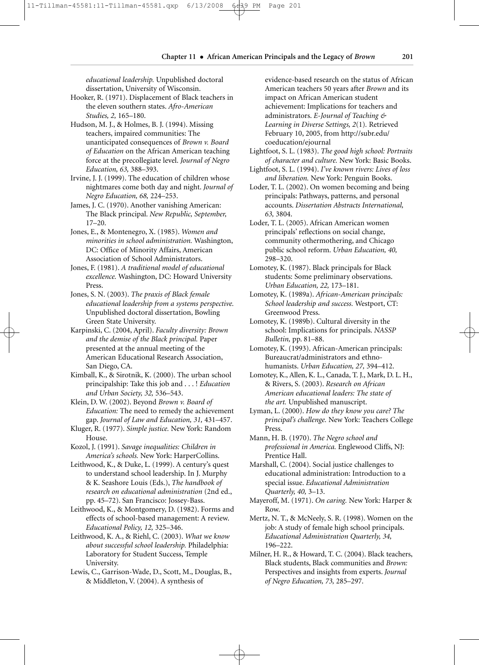*educational leadership.* Unpublished doctoral dissertation, University of Wisconsin.

- Hooker, R. (1971). Displacement of Black teachers in the eleven southern states. *Afro-American Studies, 2,* 165–180.
- Hudson, M. J., & Holmes, B. J. (1994). Missing teachers, impaired communities: The unanticipated consequences of *Brown v. Board of Education* on the African American teaching force at the precollegiate level. *Journal of Negro Education, 63,* 388–393.
- Irvine, J. J. (1999). The education of children whose nightmares come both day and night. *Journal of Negro Education, 68,* 224–253.
- James, J. C. (1970). Another vanishing American: The Black principal. *New Republic, September,* 17–20.
- Jones, E., & Montenegro, X. (1985). *Women and minorities in school administration.* Washington, DC: Office of Minority Affairs, American Association of School Administrators.
- Jones, F. (1981). *A traditional model of educational excellence.* Washington, DC: Howard University Press.
- Jones, S. N. (2003). *The praxis of Black female educational leadership from a systems perspective.* Unpublished doctoral dissertation, Bowling Green State University.
- Karpinski, C. (2004, April). *Faculty diversity: Brown and the demise of the Black principal.* Paper presented at the annual meeting of the American Educational Research Association, San Diego, CA.
- Kimball, K., & Sirotnik, K. (2000). The urban school principalship: Take this job and . . . ! *Education and Urban Society, 32,* 536–543.
- Klein, D. W. (2002). Beyond *Brown v. Board of Education:* The need to remedy the achievement gap. *Journal of Law and Education, 31,* 431–457.
- Kluger, R. (1977). *Simple justice.* New York: Random House.
- Kozol, J. (1991). *Savage inequalities: Children in America's schools.* New York: HarperCollins.
- Leithwood, K., & Duke, L. (1999). A century's quest to understand school leadership. In J. Murphy & K. Seashore Louis (Eds.), *The handbook of research on educational administration* (2nd ed., pp. 45–72). San Francisco: Jossey-Bass.
- Leithwood, K., & Montgomery, D. (1982). Forms and effects of school-based management: A review. *Educational Policy, 12,* 325–346.
- Leithwood, K. A., & Riehl, C. (2003). *What we know about successful school leadership.* Philadelphia: Laboratory for Student Success, Temple University.
- Lewis, C., Garrison-Wade, D., Scott, M., Douglas, B., & Middleton, V. (2004). A synthesis of

evidence-based research on the status of African American teachers 50 years after *Brown* and its impact on African American student achievement: Implications for teachers and administrators. *E-Journal of Teaching & Learning in Diverse Settings, 2*(1)*.* Retrieved February 10, 2005, from http://subr.edu/ coeducation/ejournal

- Lightfoot, S. L. (1983). *The good high school: Portraits of character and culture.* New York: Basic Books.
- Lightfoot, S. L. (1994). *I've known rivers: Lives of loss and liberation.* New York: Penguin Books.
- Loder, T. L. (2002). On women becoming and being principals: Pathways, patterns, and personal accounts. *Dissertation Abstracts International, 63,* 3804.
- Loder, T. L. (2005). African American women principals' reflections on social change, community othermothering, and Chicago public school reform. *Urban Education, 40,* 298–320.
- Lomotey, K. (1987). Black principals for Black students: Some preliminary observations. *Urban Education, 22,* 173–181.
- Lomotey, K. (1989a). *African-American principals: School leadership and success.* Westport, CT: Greenwood Press.
- Lomotey, K. (1989b). Cultural diversity in the school: Implications for principals. *NASSP Bulletin,* pp. 81–88.
- Lomotey, K. (1993). African-American principals: Bureaucrat/administrators and ethnohumanists. *Urban Education, 27,* 394–412.
- Lomotey, K., Allen, K. L., Canada, T. J., Mark, D. L. H., & Rivers, S. (2003). *Research on African American educational leaders: The state of the art.* Unpublished manuscript.
- Lyman, L. (2000). *How do they know you care? The principal's challenge.* New York: Teachers College Press.
- Mann, H. B. (1970). *The Negro school and professional in America.* Englewood Cliffs, NJ: Prentice Hall.
- Marshall, C. (2004). Social justice challenges to educational administration: Introduction to a special issue. *Educational Administration Quarterly, 40,* 3–13.
- Mayeroff, M. (1971). *On caring.* New York: Harper & Row.
- Mertz, N. T., & McNeely, S. R. (1998). Women on the job: A study of female high school principals. *Educational Administration Quarterly, 34,*  196–222.
- Milner, H. R., & Howard, T. C. (2004). Black teachers, Black students, Black communities and *Brown:* Perspectives and insights from experts. *Journal of Negro Education, 73,* 285–297.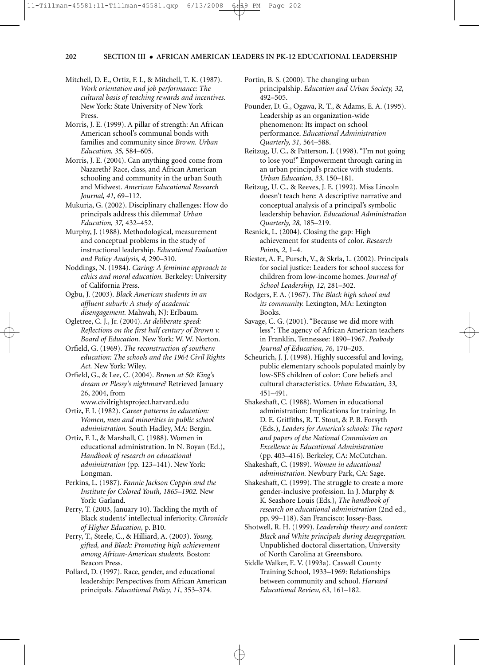PM

Mitchell, D. E., Ortiz, F. I., & Mitchell, T. K. (1987). *Work orientation and job performance: The cultural basis of teaching rewards and incentives.* New York: State University of New York Press.

11-Tillman-45581:11-Tillman-45581.qxp 6/13/2008 6:39 PM Page 202

- Morris, J. E. (1999). A pillar of strength: An African American school's communal bonds with families and community since *Brown. Urban Education, 35,* 584–605.
- Morris, J. E. (2004). Can anything good come from Nazareth? Race, class, and African American schooling and community in the urban South and Midwest. *American Educational Research Journal, 41,* 69–112.

Mukuria, G. (2002). Disciplinary challenges: How do principals address this dilemma? *Urban Education, 37,* 432–452.

- Murphy, J. (1988). Methodological, measurement and conceptual problems in the study of instructional leadership. *Educational Evaluation and Policy Analysis, 4,* 290–310.
- Noddings, N. (1984). *Caring: A feminine approach to ethics and moral education.* Berkeley: University of California Press.
- Ogbu, J. (2003). *Black American students in an affluent suburb: A study of academic disengagement.* Mahwah, NJ: Erlbaum.
- Ogletree, C. J., Jr. (2004). *At deliberate speed: Reflections on the first half century of Brown v. Board of Education.* New York: W. W. Norton.
- Orfield, G. (1969). *The reconstruction of southern education: The schools and the 1964 Civil Rights Act.* New York: Wiley.
- Orfield, G., & Lee, C. (2004). *Brown at 50: King's dream or Plessy's nightmare?* Retrieved January 26, 2004, from
- www.civilrightsproject.harvard.edu Ortiz, F. I. (1982). *Career patterns in education: Women, men and minorities in public school administration.* South Hadley, MA: Bergin.

Ortiz, F. I., & Marshall, C. (1988). Women in educational administration. In N. Boyan (Ed.), *Handbook of research on educational administration* (pp. 123–141). New York: Longman.

- Perkins, L. (1987). *Fannie Jackson Coppin and the Institute for Colored Youth, 1865–1902.* New York: Garland.
- Perry, T. (2003, January 10). Tackling the myth of Black students' intellectual inferiority. *Chronicle of Higher Education,* p. B10.

Perry, T., Steele, C., & Hilliard, A. (2003). *Young, gifted, and Black: Promoting high achievement among African-American students.* Boston: Beacon Press.

Pollard, D. (1997). Race, gender, and educational leadership: Perspectives from African American principals. *Educational Policy, 11,* 353–374.

Portin, B. S. (2000). The changing urban principalship. *Education and Urban Society, 32,* 492–505.

- Pounder, D. G., Ogawa, R. T., & Adams, E. A. (1995). Leadership as an organization-wide phenomenon: Its impact on school performance. *Educational Administration Quarterly, 31,* 564–588.
- Reitzug, U. C., & Patterson, J. (1998). "I'm not going to lose you!" Empowerment through caring in an urban principal's practice with students. *Urban Education, 33,* 150–181.
- Reitzug, U. C., & Reeves, J. E. (1992). Miss Lincoln doesn't teach here: A descriptive narrative and conceptual analysis of a principal's symbolic leadership behavior. *Educational Administration Quarterly, 28,* 185–219.
- Resnick, L. (2004). Closing the gap: High achievement for students of color. *Research Points, 2,* 1–4.
- Riester, A. F., Pursch, V., & Skrla, L. (2002). Principals for social justice: Leaders for school success for children from low-income homes. *Journal of School Leadership, 12,* 281–302.
- Rodgers, F. A. (1967). *The Black high school and its community.* Lexington, MA: Lexington Books.
- Savage, C. G. (2001). "Because we did more with less": The agency of African American teachers in Franklin, Tennessee: 1890–1967. *Peabody Journal of Education, 76,* 170–203.
- Scheurich, J. J. (1998). Highly successful and loving, public elementary schools populated mainly by low-SES children of color: Core beliefs and cultural characteristics. *Urban Education, 33,* 451–491.
- Shakeshaft, C. (1988). Women in educational administration: Implications for training. In D. E. Griffiths, R. T. Stout, & P. B. Forsyth (Eds.), *Leaders for America's schools: The report and papers of the National Commission on Excellence in Educational Administration* (pp. 403–416). Berkeley, CA: McCutchan.
- Shakeshaft, C. (1989). *Women in educational administration.* Newbury Park, CA: Sage.
- Shakeshaft, C. (1999). The struggle to create a more gender-inclusive profession. In J. Murphy & K. Seashore Louis (Eds.), *The handbook of research on educational administration* (2nd ed., pp. 99–118). San Francisco: Jossey-Bass.
- Shotwell, R. H. (1999). *Leadership theory and context: Black and White principals during desegregation.* Unpublished doctoral dissertation, University of North Carolina at Greensboro.
- Siddle Walker, E. V. (1993a). Caswell County Training School, 1933–1969: Relationships between community and school. *Harvard Educational Review, 63,* 161–182.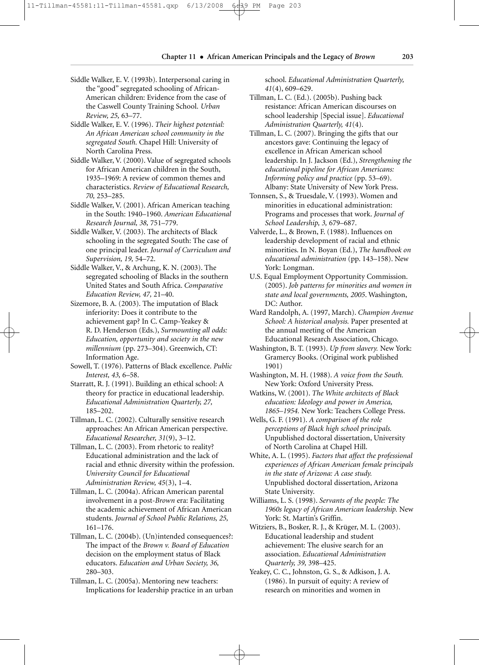- Siddle Walker, E. V. (1993b). Interpersonal caring in the "good" segregated schooling of African-American children: Evidence from the case of the Caswell County Training School. *Urban Review, 25,* 63–77.
- Siddle Walker, E. V. (1996). *Their highest potential: An African American school community in the segregated South.* Chapel Hill: University of North Carolina Press.
- Siddle Walker, V. (2000). Value of segregated schools for African American children in the South, 1935–1969: A review of common themes and characteristics. *Review of Educational Research, 70,* 253–285.
- Siddle Walker, V. (2001). African American teaching in the South: 1940–1960. *American Educational Research Journal, 38,* 751–779.
- Siddle Walker, V. (2003). The architects of Black schooling in the segregated South: The case of one principal leader. *Journal of Curriculum and Supervision, 19,* 54–72.
- Siddle Walker, V., & Archung, K. N. (2003). The segregated schooling of Blacks in the southern United States and South Africa. *Comparative Education Review, 47,* 21–40.
- Sizemore, B. A. (2003). The imputation of Black inferiority: Does it contribute to the achievement gap? In C. Camp-Yeakey & R. D. Henderson (Eds.), *Surmounting all odds: Education, opportunity and society in the new millennium* (pp. 273–304). Greenwich, CT: Information Age.
- Sowell, T. (1976). Patterns of Black excellence. *Public Interest, 43,* 6–58.
- Starratt, R. J. (1991). Building an ethical school: A theory for practice in educational leadership. *Educational Administration Quarterly, 27,*  185–202.
- Tillman, L. C. (2002). Culturally sensitive research approaches: An African American perspective. *Educational Researcher, 31*(9), 3–12.
- Tillman, L. C. (2003). From rhetoric to reality? Educational administration and the lack of racial and ethnic diversity within the profession. *University Council for Educational Administration Review, 45*(3), 1–4.
- Tillman, L. C. (2004a). African American parental involvement in a post-*Brown* era: Facilitating the academic achievement of African American students. *Journal of School Public Relations, 25,* 161–176.
- Tillman, L. C. (2004b). (Un)intended consequences?: The impact of the *Brown v. Board of Education* decision on the employment status of Black educators. *Education and Urban Society, 36,* 280–303.
- Tillman, L. C. (2005a). Mentoring new teachers: Implications for leadership practice in an urban

school. *Educational Administration Quarterly, 41*(4), 609–629.

- Tillman, L. C. (Ed.). (2005b). Pushing back resistance: African American discourses on school leadership [Special issue]. *Educational Administration Quarterly, 41*(4).
- Tillman, L. C. (2007). Bringing the gifts that our ancestors gave: Continuing the legacy of excellence in African American school leadership. In J. Jackson (Ed.), *Strengthening the educational pipeline for African Americans: Informing policy and practice* (pp. 53–69). Albany: State University of New York Press.
- Tonnsen, S., & Truesdale, V. (1993). Women and minorities in educational administration: Programs and processes that work. *Journal of School Leadership, 3,* 679–687.
- Valverde, L., & Brown, F. (1988). Influences on leadership development of racial and ethnic minorities. In N. Boyan (Ed.), *The handbook on educational administration* (pp. 143–158). New York: Longman.
- U.S. Equal Employment Opportunity Commission. (2005). *Job patterns for minorities and women in state and local governments, 2005*. Washington, DC: Author.
- Ward Randolph, A. (1997, March). *Champion Avenue School: A historical analysis.* Paper presented at the annual meeting of the American Educational Research Association, Chicago.
- Washington, B. T. (1993). *Up from slavery.* New York: Gramercy Books. (Original work published 1901)
- Washington, M. H. (1988). *A voice from the South.* New York: Oxford University Press.
- Watkins, W. (2001). *The White architects of Black education: Ideology and power in America, 1865–1954.* New York: Teachers College Press.
- Wells, G. F. (1991). *A comparison of the role perceptions of Black high school principals.* Unpublished doctoral dissertation, University of North Carolina at Chapel Hill.
- White, A. L. (1995). *Factors that affect the professional experiences of African American female principals in the state of Arizona: A case study.* Unpublished doctoral dissertation, Arizona State University.
- Williams, L. S. (1998). *Servants of the people: The 1960s legacy of African American leadership.* New York: St. Martin's Griffin.
- Witziers, B., Bosker, R. J., & Krüger, M. L. (2003). Educational leadership and student achievement: The elusive search for an association. *Educational Administration Quarterly, 39,* 398–425.
- Yeakey, C. C., Johnston, G. S., & Adkison, J. A. (1986). In pursuit of equity: A review of research on minorities and women in